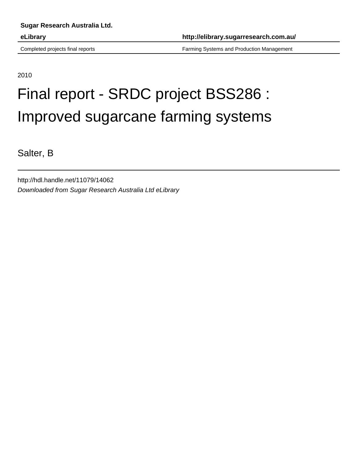Completed projects final reports Farming Systems and Production Management

2010

# Final report - SRDC project BSS286 : Improved sugarcane farming systems

Salter, B

http://hdl.handle.net/11079/14062 Downloaded from Sugar Research Australia Ltd eLibrary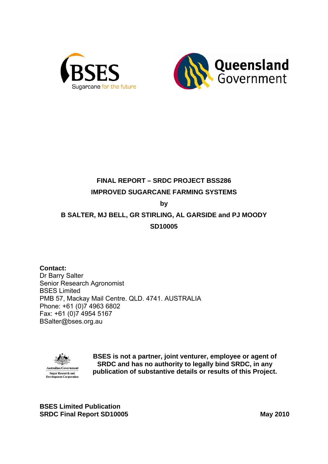



# **FINAL REPORT – SRDC PROJECT BSS286 IMPROVED SUGARCANE FARMING SYSTEMS**

**by** 

## **B SALTER, MJ BELL, GR STIRLING, AL GARSIDE and PJ MOODY SD10005**

**Contact:**  Dr Barry Salter Senior Research Agronomist BSES Limited PMB 57, Mackay Mail Centre. QLD. 4741. AUSTRALIA Phone: +61 (0)7 4963 6802 Fax: +61 (0)7 4954 5167 BSalter@bses.org.au



**BSES is not a partner, joint venturer, employee or agent of SRDC and has no authority to legally bind SRDC, in any publication of substantive details or results of this Project.** 

**BSES Limited Publication SRDC Final Report SD10005** May 2010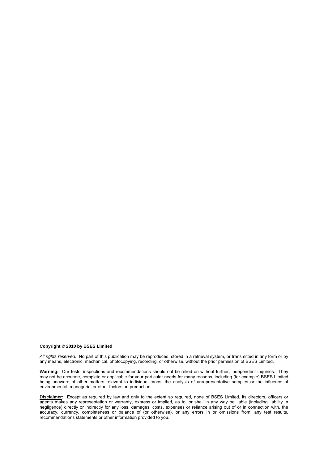#### **Copyright © 2010 by BSES Limited**

*All rights reserved.* No part of this publication may be reproduced, stored in a retrieval system, or transmitted in any form or by any means, electronic, mechanical, photocopying, recording, or otherwise, without the prior permission of BSES Limited.

**Warning:** Our tests, inspections and recommendations should not be relied on without further, independent inquiries. They may not be accurate, complete or applicable for your particular needs for many reasons, including (for example) BSES Limited being unaware of other matters relevant to individual crops, the analysis of unrepresentative samples or the influence of environmental, managerial or other factors on production.

**Disclaimer:** Except as required by law and only to the extent so required, none of BSES Limited, its directors, officers or agents makes any representation or warranty, express or implied, as to, or shall in any way be liable (including liability in negligence) directly or indirectly for any loss, damages, costs, expenses or reliance arising out of or in connection with, the accuracy, currency, completeness or balance of (or otherwise), or any errors in or omissions from, any test results, recommendations statements or other information provided to you.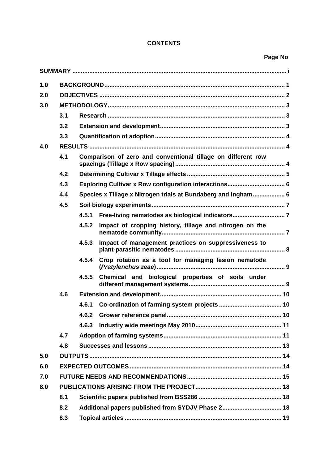## **CONTENTS**

## **Page No**

| 1.0 |     |       |                                                               |
|-----|-----|-------|---------------------------------------------------------------|
| 2.0 |     |       |                                                               |
| 3.0 |     |       |                                                               |
|     | 3.1 |       |                                                               |
|     | 3.2 |       |                                                               |
|     | 3.3 |       |                                                               |
| 4.0 |     |       |                                                               |
|     | 4.1 |       | Comparison of zero and conventional tillage on different row  |
|     | 4.2 |       |                                                               |
|     | 4.3 |       |                                                               |
|     | 4.4 |       | Species x Tillage x Nitrogen trials at Bundaberg and Ingham 6 |
|     | 4.5 |       |                                                               |
|     |     | 4.5.1 | Free-living nematodes as biological indicators 7              |
|     |     | 4.5.2 | Impact of cropping history, tillage and nitrogen on the       |
|     |     | 4.5.3 | Impact of management practices on suppressiveness to          |
|     |     | 4.5.4 | Crop rotation as a tool for managing lesion nematode          |
|     |     | 4.5.5 | Chemical and biological properties of soils under             |
|     | 4.6 |       |                                                               |
|     |     | 4.6.1 |                                                               |
|     |     | 4.6.2 |                                                               |
|     |     | 4.6.3 |                                                               |
|     | 4.7 |       |                                                               |
|     | 4.8 |       |                                                               |
| 5.0 |     |       |                                                               |
| 6.0 |     |       |                                                               |
| 7.0 |     |       |                                                               |
| 8.0 |     |       |                                                               |
|     | 8.1 |       |                                                               |
|     | 8.2 |       | Additional papers published from SYDJV Phase 2 18             |
|     | 8.3 |       |                                                               |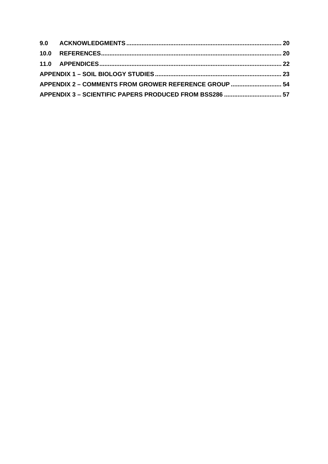| 9.0  ACKNOWLEDGMENTS ………………………………………………………………………………………… 20 |  |
|------------------------------------------------------------|--|
|                                                            |  |
|                                                            |  |
|                                                            |  |
| APPENDIX 2 - COMMENTS FROM GROWER REFERENCE GROUP  54      |  |
| APPENDIX 3 - SCIENTIFIC PAPERS PRODUCED FROM BSS286  57    |  |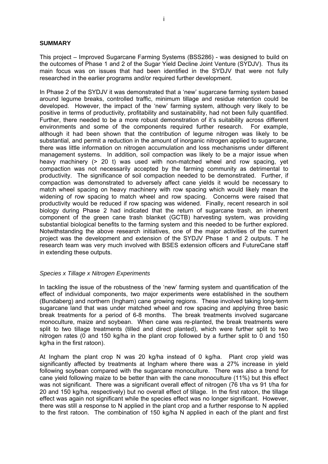#### **SUMMARY**

This project – Improved Sugarcane Farming Systems (BSS286) - was designed to build on the outcomes of Phase 1 and 2 of the Sugar Yield Decline Joint Venture (SYDJV). Thus its main focus was on issues that had been identified in the SYDJV that were not fully researched in the earlier programs and/or required further development.

In Phase 2 of the SYDJV it was demonstrated that a 'new' sugarcane farming system based around legume breaks, controlled traffic, minimum tillage and residue retention could be developed. However, the impact of the 'new' farming system, although very likely to be positive in terms of productivity, profitability and sustainability, had not been fully quantified. Further, there needed to be a more robust demonstration of it's suitability across different environments and some of the components required further research. For example, although it had been shown that the contribution of legume nitrogen was likely to be substantial, and permit a reduction in the amount of inorganic nitrogen applied to sugarcane, there was little information on nitrogen accumulation and loss mechanisms under different management systems. In addition, soil compaction was likely to be a major issue when heavy machinery (> 20 t) was used with non-matched wheel and row spacing, yet compaction was not necessarily accepted by the farming community as detrimental to productivity. The significance of soil compaction needed to be demonstrated. Further, if compaction was demonstrated to adversely affect cane yields it would be necessary to match wheel spacing on heavy machinery with row spacing which would likely mean the widening of row spacing to match wheel and row spacing. Concerns were raised that productivity would be reduced if row spacing was widened. Finally, recent research in soil biology during Phase 2 had indicated that the return of sugarcane trash, an inherent component of the green cane trash blanket (GCTB) harvesting system, was providing substantial biological benefits to the farming system and this needed to be further explored. Notwithstanding the above research initiatives, one of the major activities of the current project was the development and extension of the SYDJV Phase 1 and 2 outputs. T he research team was very much involved with BSES extension officers and FutureCane staff in extending these outputs.

#### *Species x Tillage x Nitrogen Experiments*

In tackling the issue of the robustness of the 'new' farming system and quantification of the effect of individual components, two major experiments were established in the southern (Bundaberg) and northern (Ingham) cane growing regions. These involved taking long-term sugarcane land that was under matched wheel and row spacing and applying three basic break treatments for a period of 6-8 months. The break treatments involved sugarcane monoculture, maize and soybean. When cane was re-planted, the break treatments were split to two tillage treatments (tilled and direct planted), which were further split to two nitrogen rates (0 and 150 kg/ha in the plant crop followed by a further split to 0 and 150 kg/ha in the first ratoon).

At Ingham the plant crop N was 20 kg/ha instead of 0 kg/ha. Plant crop yield was significantly affected by treatments at Ingham where there was a 27% increase in yield following soybean compared with the sugarcane monoculture. There was also a trend for cane yield following maize to be better than with the cane monoculture (11%) but this effect was not significant. There was a significant overall effect of nitrogen (76 t/ha vs 91 t/ha for 20 and 150 kg/ha, respectively) but no overall effect of tillage. In the first ratoon, the tillage effect was again not significant while the species effect was no longer significant. However, there was still a response to N applied in the plant crop and a further response to N applied to the first ratoon. The combination of 150 kg/ha N applied in each of the plant and first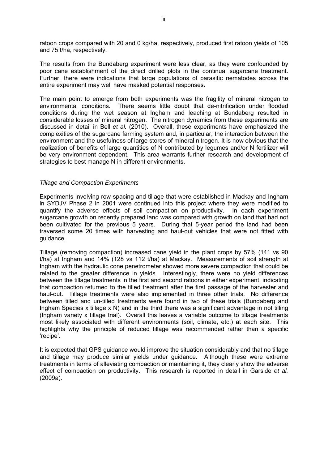ratoon crops compared with 20 and 0 kg/ha, respectively, produced first ratoon yields of 105 and 75 t/ha, respectively.

The results from the Bundaberg experiment were less clear, as they were confounded by poor cane establishment of the direct drilled plots in the continual sugarcane treatment. Further, there were indications that large populations of parasitic nematodes across the entire experiment may well have masked potential responses.

The main point to emerge from both experiments was the fragility of mineral nitrogen to environmental conditions. There seems little doubt that de-nitrification under flooded conditions during the wet season at Ingham and leaching at Bundaberg resulted in considerable losses of mineral nitrogen. The nitrogen dynamics from these experiments are discussed in detail in Bell *et al.* (2010). Overall, these experiments have emphasized the complexities of the sugarcane farming system and, in particular, the interaction between the environment and the usefulness of large stores of mineral nitrogen. It is now obvious that the realization of benefits of large quantities of N contributed by legumes and/or N fertilizer will be very environment dependent. This area warrants further research and development of strategies to best manage N in different environments.

#### *Tillage and Compaction Experiments*

Experiments involving row spacing and tillage that were established in Mackay and Ingham in SYDJV Phase 2 in 2001 were continued into this project where they were modified to quantify the adverse effects of soil compaction on productivity. In each experiment sugarcane growth on recently prepared land was compared with growth on land that had not been cultivated for the previous 5 years. During that 5-year period the land had been traversed some 20 times with harvesting and haul-out vehicles that were not fitted with guidance.

Tillage (removing compaction) increased cane yield in the plant crops by 57% (141 vs 90 t/ha) at Ingham and 14% (128 vs 112 t/ha) at Mackay. Measurements of soil strength at Ingham with the hydraulic cone penetrometer showed more severe compaction that could be related to the greater difference in yields. Interestingly, there were no yield differences between the tillage treatments in the first and second ratoons in either experiment, indicating that compaction returned to the tilled treatment after the first passage of the harvester and haul-out. Tillage treatments were also implemented in three other trials. No difference between tilled and un-tilled treatments were found in two of these trials (Bundaberg and Ingham Species  $x$  tillage  $x$  N) and in the third there was a significant advantage in not tilling (Ingham variety x tillage trial). Overall this leaves a variable outcome to tillage treatments most likely associated with different environments (soil, climate, etc.) at each site. This highlights why the principle of reduced tillage was recommended rather than a specific 'recipe'.

It is expected that GPS guidance would improve the situation considerably and that no tillage and tillage may produce similar yields under guidance. Although these were extreme treatments in terms of alleviating compaction or maintaining it, they clearly show the adverse effect of compaction on productivity. This research is reported in detail in Garside *et al.*  (2009a).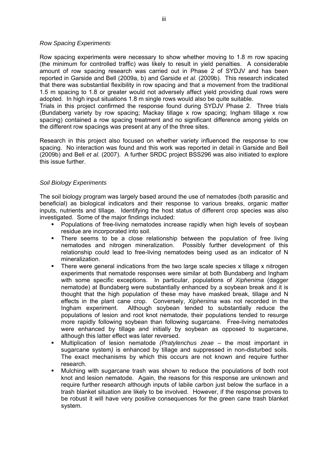#### *Row Spacing Experiments*

Row spacing experiments were necessary to show whether moving to 1.8 m row spacing (the minimum for controlled traffic) was likely to result in yield penalties. A considerable amount of row spacing research was carried out in Phase 2 of SYDJV and has been reported in Garside and Bell (2009a, b) and Garside *et al.* (2009b). This research indicated that there was substantial flexibility in row spacing and that a movement from the traditional 1.5 m spacing to 1.8 or greater would not adversely affect yield providing dual rows were adopted. In high input situations 1.8 m single rows would also be quite suitable.

Trials in this project confirmed the response found during SYDJV Phase 2. Three trials (Bundaberg variety by row spacing; Mackay tillage x row spacing; Ingham tillage x row spacing) contained a row spacing treatment and no significant difference among yields on the different row spacings was present at any of the three sites.

Research in this project also focused on whether variety influenced the response to row spacing. No interaction was found and this work was reported in detail in Garside and Bell (2009b) and Bell *et al.* (2007). A further SRDC project BSS296 was also initiated to explore this issue further.

## *Soil Biology Experiments*

The soil biology program was largely based around the use of nematodes (both parasitic and beneficial) as biological indicators and their response to various breaks, organic matter inputs, nutrients and tillage. Identifying the host status of different crop species was also investigated. Some of the major findings included:

- **Populations of free-living nematodes increase rapidly when high levels of soybean** residue are incorporated into soil.
- There seems to be a close relationship between the population of free living nematodes and nitrogen mineralization. Possibly further development of this relationship could lead to free-living nematodes being used as an indicator of N mineralization.
- There were general indications from the two large scale species x tillage x nitrogen experiments that nematode responses were similar at both Bundaberg and Ingham with some specific exceptions. In particular, populations of *Xiphenima* (dagger nematode) at Bundaberg were substantially enhanced by a soybean break and it is thought that the high population of these may have masked break, tillage and N effects in the plant cane crop. Conversely, *Xiphenima* was not recorded in the Ingham experiment. Although soybean tended to substantially reduce the populations of lesion and root knot nematode, their populations tended to resurge more rapidly following soybean than following sugarcane. Free-living nematodes were enhanced by tillage and initially by soybean as opposed to sugarcane, although this latter effect was later reversed.
- Multiplication of lesion nematode *(Pratylenchus zeae* the most important in sugarcane system*)* is enhanced by tillage and suppressed in non-disturbed soils. The exact mechanisms by which this occurs are not known and require further research.
- Mulching with sugarcane trash was shown to reduce the populations of both root knot and lesion nematode. Again, the reasons for this response are unknown and require further research although inputs of labile carbon just below the surface in a trash blanket situation are likely to be involved. However, if the response proves to be robust it will have very positive consequences for the green cane trash blanket system.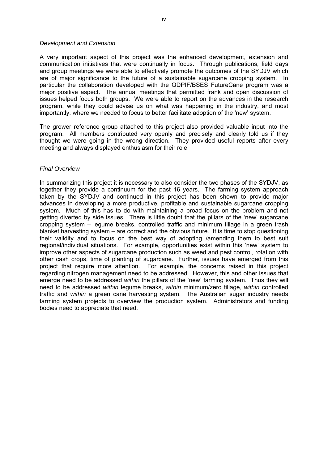#### *Development and Extension*

A very important aspect of this project was the enhanced development, extension and communication initiatives that were continually in focus. Through publications, field days and group meetings we were able to effectively promote the outcomes of the SYDJV which are of major significance to the future of a sustainable sugarcane cropping system. In particular the collaboration developed with the QDPIF/BSES FutureCane program was a major positive aspect. The annual meetings that permitted frank and open discussion of issues helped focus both groups. We were able to report on the advances in the research program, while they could advise us on what was happening in the industry, and most importantly, where we needed to focus to better facilitate adoption of the 'new' system.

The grower reference group attached to this project also provided valuable input into the program. All members contributed very openly and precisely and clearly told us if they thought we were going in the wrong direction. They provided useful reports after every meeting and always displayed enthusiasm for their role.

#### *Final Overview*

In summarizing this project it is necessary to also consider the two phases of the SYDJV, as together they provide a continuum for the past 16 years. The farming system approach taken by the SYDJV and continued in this project has been shown to provide major advances in developing a more productive, profitable and sustainable sugarcane cropping system. Much of this has to do with maintaining a broad focus on the problem and not getting diverted by side issues. There is little doubt that the pillars of the 'new' sugarcane cropping system – legume breaks, controlled traffic and minimum tillage in a green trash blanket harvesting system – are correct and the obvious future. It is time to stop questioning their validity and to focus on the best way of adopting /amending them to best suit regional/individual situations. For example, opportunities exist within this 'new' system to improve other aspects of sugarcane production such as weed and pest control, rotation with other cash crops, time of planting of sugarcane. Further, issues have emerged from this project that require more attention. For example, the concerns raised in this project regarding nitrogen management need to be addressed. However, this and other issues that emerge need to be addressed *within* the pillars of the 'new' farming system. Thus they will need to be addressed *within* legume breaks, *within* minimum/zero tillage, *within* controlled traffic and *within* a green cane harvesting system. The Australian sugar industry needs farming system projects to overview the production system. Administrators and funding bodies need to appreciate that need.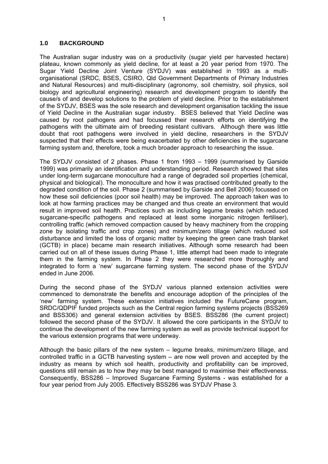#### **1.0 BACKGROUND**

The Australian sugar industry was on a productivity (sugar yield per harvested hectare) plateau, known commonly as yield decline, for at least a 20 year period from 1970. The Sugar Yield Decline Joint Venture (SYDJV) was established in 1993 as a multiorganisational (SRDC, BSES, CSIRO, Qld Government Departments of Primary Industries and Natural Resources) and multi-disciplinary (agronomy, soil chemistry, soil physics, soil biology and agricultural engineering) research and development program to identify the cause/s of and develop solutions to the problem of yield decline. Prior to the establishment of the SYDJV, BSES was the sole research and development organisation tackling the issue of Yield Decline in the Australian sugar industry. BSES believed that Yield Decline was caused by root pathogens and had focussed their research efforts on identifying the pathogens with the ultimate aim of breeding resistant cultivars. Although there was little doubt that root pathogens were involved in yield decline, researchers in the SYDJV suspected that their effects were being exacerbated by other deficiencies in the sugarcane farming system and, therefore, took a much broader approach to researching the issue.

The SYDJV consisted of 2 phases. Phase 1 from 1993 – 1999 (summarised by Garside 1999) was primarily an identification and understanding period. Research showed that sites under long-term sugarcane monoculture had a range of degraded soil properties (chemical, physical and biological). The monoculture and how it was practised contributed greatly to the degraded condition of the soil. Phase 2 (summarised by Garside and Bell 2006) focussed on how these soil deficiencies (poor soil health) may be improved. The approach taken was to look at how farming practices may be changed and thus create an environment that would result in improved soil health. Practices such as including legume breaks (which reduced sugarcane-specific pathogens and replaced at least some inorganic nitrogen fertiliser), controlling traffic (which removed compaction caused by heavy machinery from the cropping zone by isolating traffic and crop zones) and minimum/zero tillage (which reduced soil disturbance and limited the loss of organic matter by keeping the green cane trash blanket (GCTB) in place) became main research initiatives. Although some research had been carried out on all of these issues during Phase 1, little attempt had been made to integrate them in the farming system. In Phase 2 they were researched more thoroughly and integrated to form a 'new' sugarcane farming system. The second phase of the SYDJV ended in June 2006.

During the second phase of the SYDJV various planned extension activities were commenced to demonstrate the benefits and encourage adoption of the principles of the 'new' farming system. These extension initiatives included the FutureCane program, SRDC/QDPIF funded projects such as the Central region farming systems projects (BSS269 and BSS306) and general extension activities by BSES. BSS286 (the current project) followed the second phase of the SYDJV. It allowed the core participants in the SYDJV to continue the development of the new farming system as well as provide technical support for the various extension programs that were underway.

Although the basic pillars of the new system – legume breaks, minimum/zero tillage, and controlled traffic in a GCTB harvesting system – are now well proven and accepted by the industry as means by which soil health, productivity and profitability can be improved, questions still remain as to how they may be best managed to maximise their effectiveness. Consequently, BSS286 – Improved Sugarcane Farming Systems - was established for a four year period from July 2005. Effectively BSS286 was SYDJV Phase 3.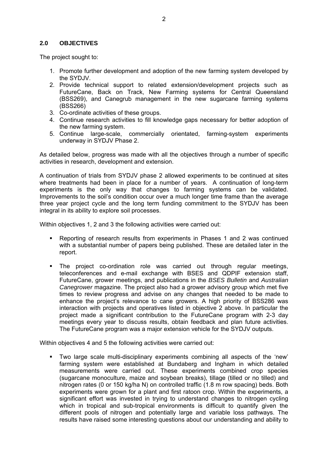## **2.0 OBJECTIVES**

The project sought to:

- 1. Promote further development and adoption of the new farming system developed by the SYDJV.
- 2. Provide technical support to related extension/development projects such as FutureCane, Back on Track, New Farming systems for Central Queensland (BSS269), and Canegrub management in the new sugarcane farming systems (BSS266)
- 3. Co-ordinate activities of these groups.
- 4. Continue research activities to fill knowledge gaps necessary for better adoption of the new farming system.
- 5. Continue large-scale, commercially orientated, farming-system experiments underway in SYDJV Phase 2.

As detailed below, progress was made with all the objectives through a number of specific activities in research, development and extension.

A continuation of trials from SYDJV phase 2 allowed experiments to be continued at sites where treatments had been in place for a number of years. A continuation of long-term experiments is the only way that changes to farming systems can be validated. Improvements to the soil's condition occur over a much longer time frame than the average three year project cycle and the long term funding commitment to the SYDJV has been integral in its ability to explore soil processes.

Within objectives 1, 2 and 3 the following activities were carried out:

- Reporting of research results from experiments in Phases 1 and 2 was continued with a substantial number of papers being published. These are detailed later in the report.
- The project co-ordination role was carried out through regular meetings, teleconferences and e-mail exchange with BSES and QDPIF extension staff, FutureCane, grower meetings, and publications in the *BSES Bulletin* and *Australian Canegrower* magazine. The project also had a grower advisory group which met five times to review progress and advise on any changes that needed to be made to enhance the project's relevance to cane growers. A high priority of BSS286 was interaction with projects and operatives listed in objective 2 above. In particular the project made a significant contribution to the FutureCane program with 2-3 day meetings every year to discuss results, obtain feedback and plan future activities. The FutureCane program was a major extension vehicle for the SYDJV outputs.

Within objectives 4 and 5 the following activities were carried out:

 Two large scale multi-disciplinary experiments combining all aspects of the 'new' farming system were established at Bundaberg and Ingham in which detailed measurements were carried out. These experiments combined crop species (sugarcane monoculture, maize and soybean breaks), tillage (tilled or no tilled) and nitrogen rates (0 or 150 kg/ha N) on controlled traffic (1.8 m row spacing) beds. Both experiments were grown for a plant and first ratoon crop. Within the experiments, a significant effort was invested in trying to understand changes to nitrogen cycling which in tropical and sub-tropical environments is difficult to quantify given the different pools of nitrogen and potentially large and variable loss pathways. The results have raised some interesting questions about our understanding and ability to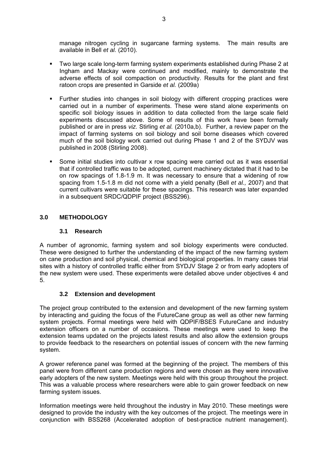manage nitrogen cycling in sugarcane farming systems. The main results are available in Bell *et al.* (2010).

- Two large scale long-term farming system experiments established during Phase 2 at Ingham and Mackay were continued and modified, mainly to demonstrate the adverse effects of soil compaction on productivity. Results for the plant and first ratoon crops are presented in Garside *et al.* (2009a)
- Further studies into changes in soil biology with different cropping practices were carried out in a number of experiments. These were stand alone experiments on specific soil biology issues in addition to data collected from the large scale field experiments discussed above. Some of results of this work have been formally published or are in press *viz.* Stirling *et al.* (2010a,b). Further, a review paper on the impact of farming systems on soil biology and soil borne diseases which covered much of the soil biology work carried out during Phase 1 and 2 of the SYDJV was published in 2008 (Stirling 2008).
- Some initial studies into cultivar x row spacing were carried out as it was essential that if controlled traffic was to be adopted, current machinery dictated that it had to be on row spacings of 1.8-1.9 m. It was necessary to ensure that a widening of row spacing from 1.5-1.8 m did not come with a yield penalty (Bell *et al.,* 2007) and that current cultivars were suitable for these spacings. This research was later expanded in a subsequent SRDC/QDPIF project (BSS296).

## **3.0 METHODOLOGY**

## **3.1 Research**

A number of agronomic, farming system and soil biology experiments were conducted. These were designed to further the understanding of the impact of the new farming system on cane production and soil physical, chemical and biological properties. In many cases trial sites with a history of controlled traffic either from SYDJV Stage 2 or from early adopters of the new system were used. These experiments were detailed above under objectives 4 and 5.

## **3.2 Extension and development**

The project group contributed to the extension and development of the new farming system by interacting and guiding the focus of the FutureCane group as well as other new farming system projects. Formal meetings were held with QDPIF/BSES FutureCane and industry extension officers on a number of occasions. These meetings were used to keep the extension teams updated on the projects latest results and also allow the extension groups to provide feedback to the researchers on potential issues of concern with the new farming system.

A grower reference panel was formed at the beginning of the project. The members of this panel were from different cane production regions and were chosen as they were innovative early adopters of the new system. Meetings were held with this group throughout the project. This was a valuable process where researchers were able to gain grower feedback on new farming system issues.

Information meetings were held throughout the industry in May 2010. These meetings were designed to provide the industry with the key outcomes of the project. The meetings were in conjunction with BSS268 (Accelerated adoption of best-practice nutrient management).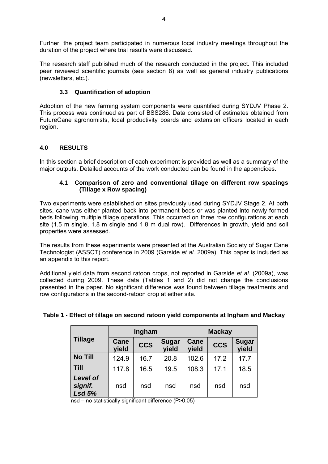Further, the project team participated in numerous local industry meetings throughout the duration of the project where trial results were discussed.

The research staff published much of the research conducted in the project. This included peer reviewed scientific journals (see section 8) as well as general industry publications (newsletters, etc.).

## **3.3 Quantification of adoption**

Adoption of the new farming system components were quantified during SYDJV Phase 2. This process was continued as part of BSS286. Data consisted of estimates obtained from FutureCane agronomists, local productivity boards and extension officers located in each region.

## **4.0 RESULTS**

In this section a brief description of each experiment is provided as well as a summary of the major outputs. Detailed accounts of the work conducted can be found in the appendices.

## **4.1 Comparison of zero and conventional tillage on different row spacings (Tillage x Row spacing)**

Two experiments were established on sites previously used during SYDJV Stage 2. At both sites, cane was either planted back into permanent beds or was planted into newly formed beds following multiple tillage operations. This occurred on three row configurations at each site (1.5 m single, 1.8 m single and 1.8 m dual row). Differences in growth, yield and soil properties were assessed.

The results from these experiments were presented at the Australian Society of Sugar Cane Technologist (ASSCT) conference in 2009 (Garside *et al.* 2009a). This paper is included as an appendix to this report.

Additional yield data from second ratoon crops, not reported in Garside *et al.* (2009a), was collected during 2009. These data (Tables 1 and 2) did not change the conclusions presented in the paper*.* No significant difference was found between tillage treatments and row configurations in the second-ratoon crop at either site.

|                                             |               | Ingham     |                       | <b>Mackay</b>        |            |                       |
|---------------------------------------------|---------------|------------|-----------------------|----------------------|------------|-----------------------|
| <b>Tillage</b>                              | Cane<br>vield | <b>CCS</b> | <b>Sugar</b><br>yield | <b>Cane</b><br>yield | <b>CCS</b> | <b>Sugar</b><br>yield |
| <b>No Till</b>                              | 124.9         | 16.7       | 20.8                  | 102.6                | 17.2       | 17.7                  |
| <b>Till</b>                                 | 117.8         | 16.5       | 19.5                  | 108.3                | 17.1       | 18.5                  |
| <b>Level of</b><br>signif.<br><b>Lsd 5%</b> | nsd           | nsd        | nsd                   | nsd                  | nsd        | nsd                   |

## **Table 1 - Effect of tillage on second ratoon yield components at Ingham and Mackay**

4

nsd – no statistically significant difference (P>0.05)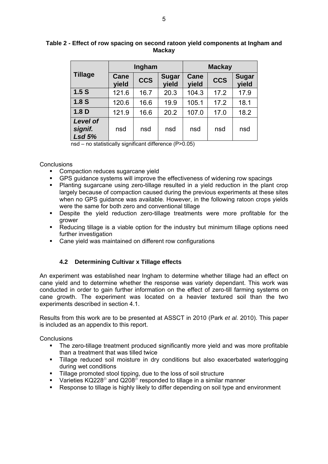|                                             |                      | Ingham     |                       | <b>Mackay</b> |            |                       |
|---------------------------------------------|----------------------|------------|-----------------------|---------------|------------|-----------------------|
| <b>Tillage</b>                              | <b>Cane</b><br>yield | <b>CCS</b> | <b>Sugar</b><br>yield | Cane<br>yield | <b>CCS</b> | <b>Sugar</b><br>vield |
| 1.5S                                        | 121.6                | 16.7       | 20.3                  | 104.3         | 17.2       | 17.9                  |
| 1.8 <sub>S</sub>                            | 120.6                | 16.6       | 19.9                  | 105.1         | 17.2       | 18.1                  |
| 1.8 <sub>D</sub>                            | 121.9                | 16.6       | 20.2                  | 107.0         | 17.0       | 18.2                  |
| <b>Level of</b><br>signif.<br><b>Lsd 5%</b> | nsd                  | nsd        | nsd                   | nsd           | nsd        | nsd                   |

## **Table 2 - Effect of row spacing on second ratoon yield components at Ingham and Mackay**

nsd – no statistically significant difference (P>0.05)

#### **Conclusions**

- Compaction reduces sugarcane yield
- GPS guidance systems will improve the effectiveness of widening row spacings
- Planting sugarcane using zero-tillage resulted in a yield reduction in the plant crop largely because of compaction caused during the previous experiments at these sites when no GPS guidance was available. However, in the following ratoon crops yields were the same for both zero and conventional tillage
- Despite the yield reduction zero-tillage treatments were more profitable for the grower
- Reducing tillage is a viable option for the industry but minimum tillage options need further investigation
- Cane yield was maintained on different row configurations

## **4.2 Determining Cultivar x Tillage effects**

An experiment was established near Ingham to determine whether tillage had an effect on cane yield and to determine whether the response was variety dependant. This work was conducted in order to gain further information on the effect of zero-till farming systems on cane growth. The experiment was located on a heavier textured soil than the two experiments described in section 4.1.

Results from this work are to be presented at ASSCT in 2010 (Park *et al.* 2010). This paper is included as an appendix to this report.

- The zero-tillage treatment produced significantly more yield and was more profitable than a treatment that was tilled twice
- Tillage reduced soil moisture in dry conditions but also exacerbated waterlogging during wet conditions
- **Tillage promoted stool tipping, due to the loss of soil structure**
- Varieties KQ228<sup> $\phi$ </sup> and Q208<sup> $\bar{\phi}$ </sup> responded to tillage in a similar manner
- **Response to tillage is highly likely to differ depending on soil type and environment**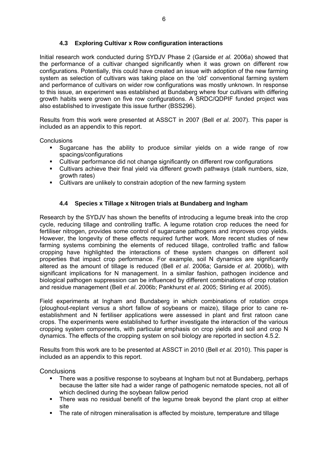## **4.3 Exploring Cultivar x Row configuration interactions**

Initial research work conducted during SYDJV Phase 2 (Garside *et al.* 2006a) showed that the performance of a cultivar changed significantly when it was grown on different row configurations. Potentially, this could have created an issue with adoption of the new farming system as selection of cultivars was taking place on the 'old' conventional farming system and performance of cultivars on wider row configurations was mostly unknown. In response to this issue, an experiment was established at Bundaberg where four cultivars with differing growth habits were grown on five row configurations. A SRDC/QDPIF funded project was also established to investigate this issue further (BSS296).

Results from this work were presented at ASSCT in 2007 (Bell *et al.* 2007). This paper is included as an appendix to this report.

**Conclusions** 

- Sugarcane has the ability to produce similar yields on a wide range of row spacings/configurations
- Cultivar performance did not change significantly on different row configurations
- Cultivars achieve their final yield via different growth pathways (stalk numbers, size, growth rates)
- Cultivars are unlikely to constrain adoption of the new farming system

## **4.4 Species x Tillage x Nitrogen trials at Bundaberg and Ingham**

Research by the SYDJV has shown the benefits of introducing a legume break into the crop cycle, reducing tillage and controlling traffic. A legume rotation crop reduces the need for fertiliser nitrogen, provides some control of sugarcane pathogens and improves crop yields. However, the longevity of these effects required further work. More recent studies of new farming systems combining the elements of reduced tillage, controlled traffic and fallow cropping have highlighted the interactions of these system changes on different soil properties that impact crop performance. For example, soil N dynamics are significantly altered as the amount of tillage is reduced (Bell *et al*. 2006a; Garside *et al*. 2006b), with significant implications for N management. In a similar fashion, pathogen incidence and biological pathogen suppression can be influenced by different combinations of crop rotation and residue management (Bell *et al*. 2006b; Pankhurst *et al*. 2005; Stirling *et al.* 2005).

Field experiments at Ingham and Bundaberg in which combinations of rotation crops (ploughout-replant versus a short fallow of soybeans or maize), tillage prior to cane reestablishment and N fertiliser applications were assessed in plant and first ratoon cane crops. The experiments were established to further investigate the interaction of the various cropping system components, with particular emphasis on crop yields and soil and crop N dynamics. The effects of the cropping system on soil biology are reported in section 4.5.2.

Results from this work are to be presented at ASSCT in 2010 (Bell *et al.* 2010). This paper is included as an appendix to this report.

- There was a positive response to soybeans at Ingham but not at Bundaberg, perhaps because the latter site had a wider range of pathogenic nematode species, not all of which declined during the soybean fallow period
- There was no residual benefit of the legume break beyond the plant crop at either site
- The rate of nitrogen mineralisation is affected by moisture, temperature and tillage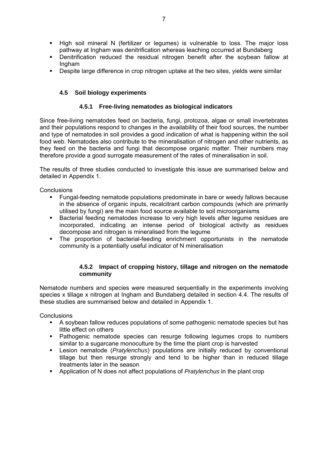- High soil mineral N (fertilizer or legumes) is vulnerable to loss. The major loss pathway at Ingham was denitrification whereas leaching occurred at Bundaberg
- Denitrification reduced the residual nitrogen benefit after the soybean fallow at Ingham
- Despite large difference in crop nitrogen uptake at the two sites, yields were similar

## **4.5 Soil biology experiments**

## **4.5.1 Free-living nematodes as biological indicators**

Since free-living nematodes feed on bacteria, fungi, protozoa, algae or small invertebrates and their populations respond to changes in the availability of their food sources, the number and type of nematodes in soil provides a good indication of what is happening within the soil food web. Nematodes also contribute to the mineralisation of nitrogen and other nutrients, as they feed on the bacteria and fungi that decompose organic matter. Their numbers may therefore provide a good surrogate measurement of the rates of mineralisation in soil.

The results of three studies conducted to investigate this issue are summarised below and detailed in Appendix 1.

**Conclusions** 

- Fungal-feeding nematode populations predominate in bare or weedy fallows because in the absence of organic inputs, recalcitrant carbon compounds (which are primarily utilised by fungi) are the main food source available to soil microorganisms
- Bacterial feeding nematodes increase to very high levels after legume residues are incorporated, indicating an intense period of biological activity as residues decompose and nitrogen is mineralised from the legume
- The proportion of bacterial-feeding enrichment opportunists in the nematode community is a potentially useful indicator of N mineralisation

#### **4.5.2 Impact of cropping history, tillage and nitrogen on the nematode community**

Nematode numbers and species were measured sequentially in the experiments involving species x tillage x nitrogen at Ingham and Bundaberg detailed in section 4.4. The results of these studies are summarised below and detailed in Appendix 1.

- A soybean fallow reduces populations of some pathogenic nematode species but has little effect on others
- **•** Pathogenic nematode species can resurge following legumes crops to numbers similar to a sugarcane monoculture by the time the plant crop is harvested
- Lesion nematode (*Pratylenchus*) populations are initially reduced by conventional tillage but then resurge strongly and tend to be higher than in reduced tillage treatments later in the season
- Application of N does not affect populations of *Pratylenchus* in the plant crop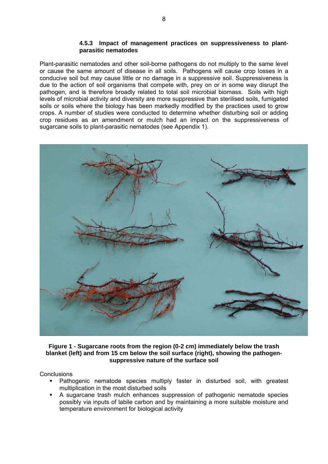#### **4.5.3 Impact of management practices on suppressiveness to plantparasitic nematodes**

Plant-parasitic nematodes and other soil-borne pathogens do not multiply to the same level or cause the same amount of disease in all soils. Pathogens will cause crop losses in a conducive soil but may cause little or no damage in a suppressive soil. Suppressiveness is due to the action of soil organisms that compete with, prey on or in some way disrupt the pathogen, and is therefore broadly related to total soil microbial biomass. Soils with high levels of microbial activity and diversity are more suppressive than sterilised soils, fumigated soils or soils where the biology has been markedly modified by the practices used to grow crops. A number of studies were conducted to determine whether disturbing soil or adding crop residues as an amendment or mulch had an impact on the suppressiveness of sugarcane soils to plant-parasitic nematodes (see Appendix 1).



### **Figure 1 - Sugarcane roots from the region (0-2 cm) immediately below the trash blanket (left) and from 15 cm below the soil surface (right), showing the pathogensuppressive nature of the surface soil**

- Pathogenic nematode species multiply faster in disturbed soil, with greatest multiplication in the most disturbed soils
- A sugarcane trash mulch enhances suppression of pathogenic nematode species possibly via inputs of labile carbon and by maintaining a more suitable moisture and temperature environment for biological activity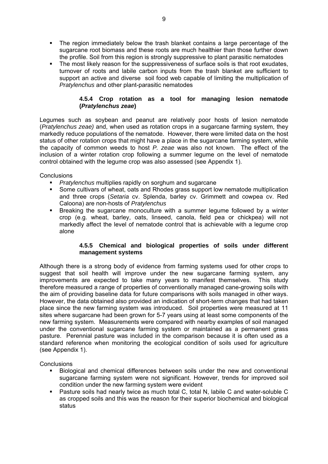- The region immediately below the trash blanket contains a large percentage of the sugarcane root biomass and these roots are much healthier than those further down the profile. Soil from this region is strongly suppressive to plant parasitic nematodes
- The most likely reason for the suppressiveness of surface soils is that root exudates, turnover of roots and labile carbon inputs from the trash blanket are sufficient to support an active and diverse soil food web capable of limiting the multiplication of *Pratylenchus* and other plant-parasitic nematodes

## **4.5.4 Crop rotation as a tool for managing lesion nematode (***Pratylenchus zeae***)**

Legumes such as soybean and peanut are relatively poor hosts of lesion nematode (*Pratylenchus zeae)* and, when used as rotation crops in a sugarcane farming system, they markedly reduce populations of the nematode. However, there were limited data on the host status of other rotation crops that might have a place in the sugarcane farming system, while the capacity of common weeds to host *P. zeae* was also not known. The effect of the inclusion of a winter rotation crop following a summer legume on the level of nematode control obtained with the legume crop was also assessed (see Appendix 1).

**Conclusions** 

- *Pratylenchus* multiplies rapidly on sorghum and sugarcane
- Some cultivars of wheat, oats and Rhodes grass support low nematode multiplication and three crops (*Setaria* cv. Splenda, barley cv. Grimmett and cowpea cv. Red Caloona) are non-hosts of *Pratylenchus*
- Breaking the sugarcane monoculture with a summer legume followed by a winter crop (e.g. wheat, barley, oats, linseed, canola, field pea or chickpea) will not markedly affect the level of nematode control that is achievable with a legume crop alone

## **4.5.5 Chemical and biological properties of soils under different management systems**

Although there is a strong body of evidence from farming systems used for other crops to suggest that soil health will improve under the new sugarcane farming system, any improvements are expected to take many years to manifest themselves. This study therefore measured a range of properties of conventionally managed cane-growing soils with the aim of providing baseline data for future comparisons with soils managed in other ways. However, the data obtained also provided an indication of short-term changes that had taken place since the new farming system was introduced. Soil properties were measured at 11 sites where sugarcane had been grown for 5-7 years using at least some components of the new farming system. Measurements were compared with nearby examples of soil managed under the conventional sugarcane farming system or maintained as a permanent grass pasture. Perennial pasture was included in the comparison because it is often used as a standard reference when monitoring the ecological condition of soils used for agriculture (see Appendix 1).

- Biological and chemical differences between soils under the new and conventional sugarcane farming system were not significant. However, trends for improved soil condition under the new farming system were evident
- Pasture soils had nearly twice as much total C, total N, labile C and water-soluble C as cropped soils and this was the reason for their superior biochemical and biological status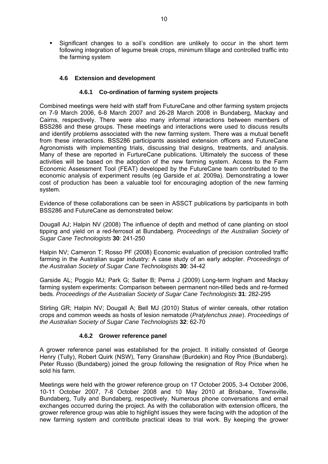Significant changes to a soil's condition are unlikely to occur in the short term following integration of legume break crops, minimum tillage and controlled traffic into the farming system

## **4.6 Extension and development**

#### **4.6.1 Co-ordination of farming system projects**

Combined meetings were held with staff from FutureCane and other farming system projects on 7-9 March 2006, 6-8 March 2007 and 26-28 March 2008 in Bundaberg, Mackay and Cairns, respectively. There were also many informal interactions between members of BSS286 and these groups. These meetings and interactions were used to discuss results and identify problems associated with the new farming system. There was a mutual benefit from these interactions. BSS286 participants assisted extension officers and FutureCane Agronomists with implementing trials, discussing trial designs, treatments, and analysis. Many of these are reported in FurtureCane publications. Ultimately the success of these activities will be based on the adoption of the new farming system. Access to the Farm Economic Assessment Tool (FEAT) developed by the FutureCane team contributed to the economic analysis of experiment results (eg Garside *et al.* 2009a). Demonstrating a lower cost of production has been a valuable tool for encouraging adoption of the new farming system.

Evidence of these collaborations can be seen in ASSCT publications by participants in both BSS286 and FutureCane as demonstrated below:

Dougall AJ; Halpin NV (2008) The influence of depth and method of cane planting on stool tipping and yield on a red-ferrosol at Bundaberg. *Proceedings of the Australian Society of Sugar Cane Technologists* **30**: 241-250

Halpin NV; Cameron T; Rosso PF (2008) Economic evaluation of precision controlled traffic farming in the Australian sugar industry: A case study of an early adopter. *Proceedings of the Australian Society of Sugar Cane Technologists* **30**: 34-42

Garside AL; Poggio MJ; Park G; Salter B; Perna J (2009) Long-term Ingham and Mackay farming system experiments: Comparison between permanent non-tilled beds and re-formed beds. *Proceedings of the Australian Society of Sugar Cane Technologists* **31**: 282-295

Stirling GR; Halpin NV; Dougall A; Bell MJ (2010) Status of winter cereals, other rotation crops and common weeds as hosts of lesion nematode (*Pratylenchus zeae*). *Proceedings of the Australian Society of Sugar Cane Technologists* **32**: 62-70

#### **4.6.2 Grower reference panel**

A grower reference panel was established for the project. It initially consisted of George Henry (Tully), Robert Quirk (NSW), Terry Granshaw (Burdekin) and Roy Price (Bundaberg). Peter Russo (Bundaberg) joined the group following the resignation of Roy Price when he sold his farm.

Meetings were held with the grower reference group on 17 October 2005, 3-4 October 2006, 10-11 October 2007, 7-8 October 2008 and 10 May 2010 at Brisbane, Townsville, Bundaberg, Tully and Bundaberg, respectively. Numerous phone conversations and email exchanges occurred during the project. As with the collaboration with extension officers, the grower reference group was able to highlight issues they were facing with the adoption of the new farming system and contribute practical ideas to trial work. By keeping the grower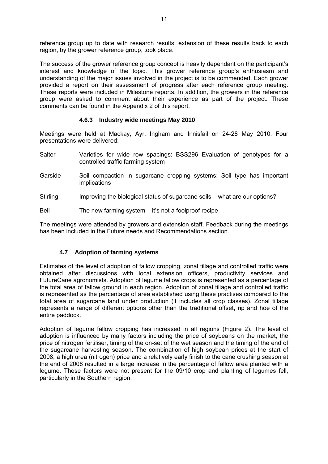reference group up to date with research results, extension of these results back to each region, by the grower reference group, took place.

The success of the grower reference group concept is heavily dependant on the participant's interest and knowledge of the topic. This grower reference group's enthusiasm and understanding of the major issues involved in the project is to be commended. Each grower provided a report on their assessment of progress after each reference group meeting. These reports were included in Milestone reports. In addition, the growers in the reference group were asked to comment about their experience as part of the project. These comments can be found in the Appendix 2 of this report.

## **4.6.3 Industry wide meetings May 2010**

Meetings were held at Mackay, Ayr, Ingham and Innisfail on 24-28 May 2010. Four presentations were delivered:

- Salter Varieties for wide row spacings: BSS296 Evaluation of genotypes for a controlled traffic farming system
- Garside Soil compaction in sugarcane cropping systems: Soil type has important implications
- Stirling Improving the biological status of sugarcane soils what are our options?

Bell The new farming system – it's not a foolproof recipe

The meetings were attended by growers and extension staff. Feedback during the meetings has been included in the Future needs and Recommendations section.

## **4.7 Adoption of farming systems**

Estimates of the level of adoption of fallow cropping, zonal tillage and controlled traffic were obtained after discussions with local extension officers, productivity services and FutureCane agronomists. Adoption of legume fallow crops is represented as a percentage of the total area of fallow ground in each region. Adoption of zonal tillage and controlled traffic is represented as the percentage of area established using these practises compared to the total area of sugarcane land under production (it includes all crop classes). Zonal tillage represents a range of different options other than the traditional offset, rip and hoe of the entire paddock.

Adoption of legume fallow cropping has increased in all regions (Figure 2). The level of adoption is influenced by many factors including the price of soybeans on the market, the price of nitrogen fertiliser, timing of the on-set of the wet season and the timing of the end of the sugarcane harvesting season. The combination of high soybean prices at the start of 2008, a high urea (nitrogen) price and a relatively early finish to the cane crushing season at the end of 2008 resulted in a large increase in the percentage of fallow area planted with a legume. These factors were not present for the 09/10 crop and planting of legumes fell, particularly in the Southern region.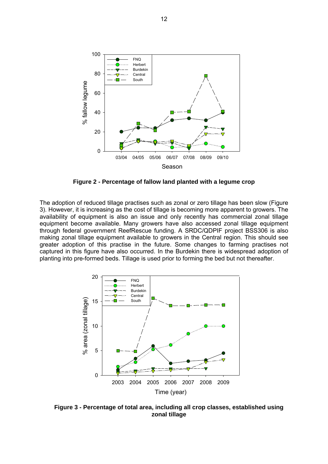

**Figure 2 - Percentage of fallow land planted with a legume crop** 

The adoption of reduced tillage practises such as zonal or zero tillage has been slow (Figure 3). However, it is increasing as the cost of tillage is becoming more apparent to growers. The availability of equipment is also an issue and only recently has commercial zonal tillage equipment become available. Many growers have also accessed zonal tillage equipment through federal government ReefRescue funding. A SRDC/QDPIF project BSS306 is also making zonal tillage equipment available to growers in the Central region. This should see greater adoption of this practise in the future. Some changes to farming practises not captured in this figure have also occurred. In the Burdekin there is widespread adoption of planting into pre-formed beds. Tillage is used prior to forming the bed but not thereafter.



**Figure 3 - Percentage of total area, including all crop classes, established using zonal tillage**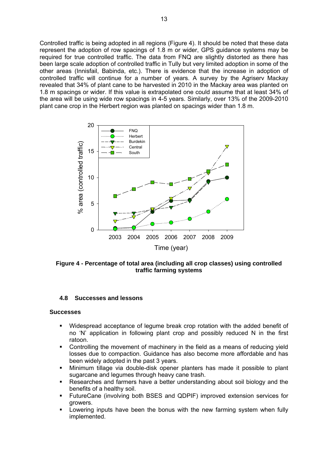Controlled traffic is being adopted in all regions (Figure 4). It should be noted that these data represent the adoption of row spacings of 1.8 m or wider, GPS guidance systems may be required for true controlled traffic. The data from FNQ are slightly distorted as there has been large scale adoption of controlled traffic in Tully but very limited adoption in some of the other areas (Innisfail, Babinda, etc.). There is evidence that the increase in adoption of controlled traffic will continue for a number of years. A survey by the Agriserv Mackay revealed that 34% of plant cane to be harvested in 2010 in the Mackay area was planted on 1.8 m spacings or wider. If this value is extrapolated one could assume that at least 34% of the area will be using wide row spacings in 4-5 years. Similarly, over 13% of the 2009-2010 plant cane crop in the Herbert region was planted on spacings wider than 1.8 m.



**Figure 4 - Percentage of total area (including all crop classes) using controlled traffic farming systems**

## **4.8 Successes and lessons**

#### **Successes**

- Widespread acceptance of legume break crop rotation with the added benefit of no 'N' application in following plant crop and possibly reduced N in the first ratoon.
- Controlling the movement of machinery in the field as a means of reducing yield losses due to compaction. Guidance has also become more affordable and has been widely adopted in the past 3 years.
- Minimum tillage via double-disk opener planters has made it possible to plant sugarcane and legumes through heavy cane trash.
- Researches and farmers have a better understanding about soil biology and the benefits of a healthy soil.
- FutureCane (involving both BSES and QDPIF) improved extension services for growers.
- Lowering inputs have been the bonus with the new farming system when fully implemented.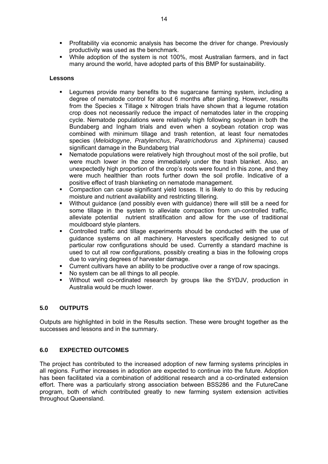- Profitability via economic analysis has become the driver for change. Previously productivity was used as the benchmark.
- While adoption of the system is not 100%, most Australian farmers, and in fact many around the world, have adopted parts of this BMP for sustainability.

#### **Lessons**

- Legumes provide many benefits to the sugarcane farming system, including a degree of nematode control for about 6 months after planting. However, results from the Species x Tillage x Nitrogen trials have shown that a legume rotation crop does not necessarily reduce the impact of nematodes later in the cropping cycle. Nematode populations were relatively high following soybean in both the Bundaberg and Ingham trials and even when a soybean rotation crop was combined with minimum tillage and trash retention, at least four nematodes species (*Meloidogyne*, *Pratylenchus*, *Paratrichodorus* and *Xiphinema*) caused significant damage in the Bundaberg trial
- Nematode populations were relatively high throughout most of the soil profile, but were much lower in the zone immediately under the trash blanket. Also, an unexpectedly high proportion of the crop's roots were found in this zone, and they were much healthier than roots further down the soil profile. Indicative of a positive effect of trash blanketing on nematode management.
- Compaction can cause significant yield losses. It is likely to do this by reducing moisture and nutrient availability and restricting tillering.
- Without guidance (and possibly even with guidance) there will still be a need for some tillage in the system to alleviate compaction from un-controlled traffic, alleviate potential nutrient stratification and allow for the use of traditional mouldboard style planters.
- Controlled traffic and tillage experiments should be conducted with the use of guidance systems on all machinery. Harvesters specifically designed to cut particular row configurations should be used. Currently a standard machine is used to cut all row configurations, possibly creating a bias in the following crops due to varying degrees of harvester damage.
- Current cultivars have an ability to be productive over a range of row spacings.
- No system can be all things to all people.
- Without well co-ordinated research by groups like the SYDJV, production in Australia would be much lower.

## **5.0 OUTPUTS**

Outputs are highlighted in bold in the Results section. These were brought together as the successes and lessons and in the summary.

## **6.0 EXPECTED OUTCOMES**

The project has contributed to the increased adoption of new farming systems principles in all regions. Further increases in adoption are expected to continue into the future. Adoption has been facilitated via a combination of additional research and a co-ordinated extension effort. There was a particularly strong association between BSS286 and the FutureCane program, both of which contributed greatly to new farming system extension activities throughout Queensland.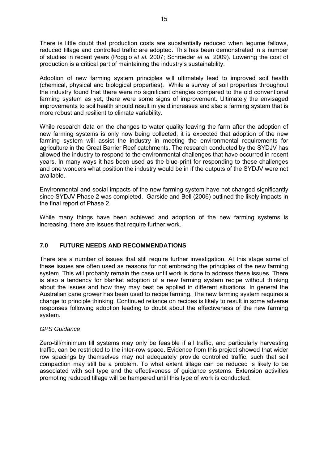There is little doubt that production costs are substantially reduced when legume fallows, reduced tillage and controlled traffic are adopted. This has been demonstrated in a number of studies in recent years (Poggio *et al.* 2007; Schroeder *et al.* 2009). Lowering the cost of production is a critical part of maintaining the industry's sustainability.

Adoption of new farming system principles will ultimately lead to improved soil health (chemical, physical and biological properties). While a survey of soil properties throughout the industry found that there were no significant changes compared to the old conventional farming system as yet, there were some signs of improvement. Ultimately the envisaged improvements to soil health should result in yield increases and also a farming system that is more robust and resilient to climate variability.

While research data on the changes to water quality leaving the farm after the adoption of new farming systems is only now being collected, it is expected that adoption of the new farming system will assist the industry in meeting the environmental requirements for agriculture in the Great Barrier Reef catchments. The research conducted by the SYDJV has allowed the industry to respond to the environmental challenges that have occurred in recent years. In many ways it has been used as the blue-print for responding to these challenges and one wonders what position the industry would be in if the outputs of the SYDJV were not available.

Environmental and social impacts of the new farming system have not changed significantly since SYDJV Phase 2 was completed. Garside and Bell (2006) outlined the likely impacts in the final report of Phase 2.

While many things have been achieved and adoption of the new farming systems is increasing, there are issues that require further work.

## **7.0 FUTURE NEEDS AND RECOMMENDATIONS**

There are a number of issues that still require further investigation. At this stage some of these issues are often used as reasons for not embracing the principles of the new farming system. This will probably remain the case until work is done to address these issues. There is also a tendency for blanket adoption of a new farming system recipe without thinking about the issues and how they may best be applied in different situations. In general the Australian cane grower has been used to recipe farming. The new farming system requires a change to principle thinking. Continued reliance on recipes is likely to result in some adverse responses following adoption leading to doubt about the effectiveness of the new farming system.

## *GPS Guidance*

Zero-till/minimum till systems may only be feasible if all traffic, and particularly harvesting traffic, can be restricted to the inter-row space. Evidence from this project showed that wider row spacings by themselves may not adequately provide controlled traffic, such that soil compaction may still be a problem. To what extent tillage can be reduced is likely to be associated with soil type and the effectiveness of guidance systems. Extension activities promoting reduced tillage will be hampered until this type of work is conducted.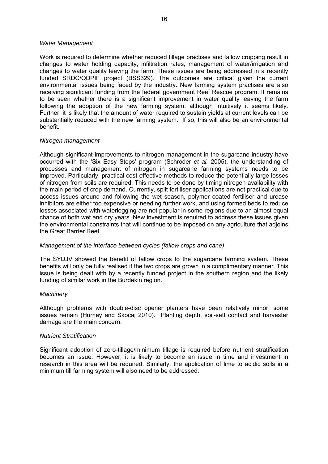#### *Water Management*

Work is required to determine whether reduced tillage practises and fallow cropping result in changes to water holding capacity, infiltration rates, management of water/irrigation and changes to water quality leaving the farm. These issues are being addressed in a recently funded SRDC/QDPIF project (BSS329). The outcomes are critical given the current environmental issues being faced by the industry. New farming system practises are also receiving significant funding from the federal government Reef Rescue program. It remains to be seen whether there is a significant improvement in water quality leaving the farm following the adoption of the new farming system, although intuitively it seems likely. Further, it is likely that the amount of water required to sustain yields at current levels can be substantially reduced with the new farming system. If so, this will also be an environmental benefit.

#### *Nitrogen management*

Although significant improvements to nitrogen management in the sugarcane industry have occurred with the 'Six Easy Steps' program (Schroder *et al.* 2005), the understanding of processes and management of nitrogen in sugarcane farming systems needs to be improved. Particularly, practical cost-effective methods to reduce the potentially large losses of nitrogen from soils are required. This needs to be done by timing nitrogen availability with the main period of crop demand. Currently, split fertiliser applications are not practical due to access issues around and following the wet season, polymer coated fertiliser and urease inhibitors are either too expensive or needing further work, and using formed beds to reduce losses associated with waterlogging are not popular in some regions due to an almost equal chance of both wet and dry years. New investment is required to address these issues given the environmental constraints that will continue to be imposed on any agriculture that adjoins the Great Barrier Reef.

#### *Management of the interface between cycles (fallow crops and cane)*

The SYDJV showed the benefit of fallow crops to the sugarcane farming system. These benefits will only be fully realised if the two crops are grown in a complimentary manner. This issue is being dealt with by a recently funded project in the southern region and the likely funding of similar work in the Burdekin region.

#### *Machinery*

Although problems with double-disc opener planters have been relatively minor, some issues remain (Hurney and Skocaj 2010). Planting depth, soil-sett contact and harvester damage are the main concern.

#### *Nutrient Stratification*

Significant adoption of zero-tillage/minimum tillage is required before nutrient stratification becomes an issue. However, it is likely to become an issue in time and investment in research in this area will be required. Similarly, the application of lime to acidic soils in a minimum till farming system will also need to be addressed.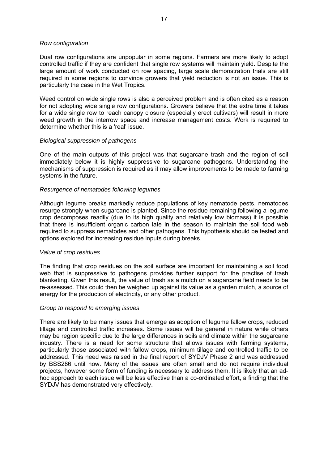#### *Row configuration*

Dual row configurations are unpopular in some regions. Farmers are more likely to adopt controlled traffic if they are confident that single row systems will maintain yield. Despite the large amount of work conducted on row spacing, large scale demonstration trials are still required in some regions to convince growers that yield reduction is not an issue. This is particularly the case in the Wet Tropics.

Weed control on wide single rows is also a perceived problem and is often cited as a reason for not adopting wide single row configurations. Growers believe that the extra time it takes for a wide single row to reach canopy closure (especially erect cultivars) will result in more weed growth in the interrow space and increase management costs. Work is required to determine whether this is a 'real' issue.

#### *Biological suppression of pathogens*

One of the main outputs of this project was that sugarcane trash and the region of soil immediately below it is highly suppressive to sugarcane pathogens. Understanding the mechanisms of suppression is required as it may allow improvements to be made to farming systems in the future.

#### *Resurgence of nematodes following legumes*

Although legume breaks markedly reduce populations of key nematode pests, nematodes resurge strongly when sugarcane is planted. Since the residue remaining following a legume crop decomposes readily (due to its high quality and relatively low biomass) it is possible that there is insufficient organic carbon late in the season to maintain the soil food web required to suppress nematodes and other pathogens. This hypothesis should be tested and options explored for increasing residue inputs during breaks.

#### *Value of crop residues*

The finding that crop residues on the soil surface are important for maintaining a soil food web that is suppressive to pathogens provides further support for the practise of trash blanketing. Given this result, the value of trash as a mulch on a sugarcane field needs to be re-assessed. This could then be weighed up against its value as a garden mulch, a source of energy for the production of electricity, or any other product.

#### *Group to respond to emerging issues*

There are likely to be many issues that emerge as adoption of legume fallow crops, reduced tillage and controlled traffic increases. Some issues will be general in nature while others may be region specific due to the large differences in soils and climate within the sugarcane industry. There is a need for some structure that allows issues with farming systems, particularly those associated with fallow crops, minimum tillage and controlled traffic to be addressed. This need was raised in the final report of SYDJV Phase 2 and was addressed by BSS286 until now. Many of the issues are often small and do not require individual projects, however some form of funding is necessary to address them. It is likely that an adhoc approach to each issue will be less effective than a co-ordinated effort, a finding that the SYDJV has demonstrated very effectively.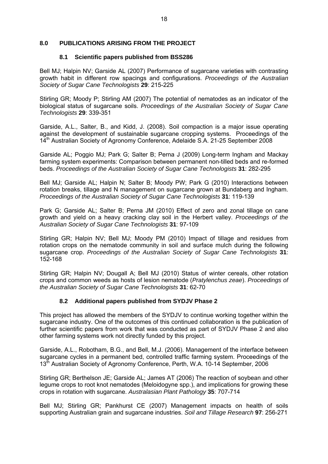#### **8.0 PUBLICATIONS ARISING FROM THE PROJECT**

#### **8.1 Scientific papers published from BSS286**

Bell MJ; Halpin NV; Garside AL (2007) Performance of sugarcane varieties with contrasting growth habit in different row spacings and configurations. *Proceedings of the Australian Society of Sugar Cane Technologists* **29**: 215-225

Stirling GR; Moody P; Stirling AM (2007) The potential of nematodes as an indicator of the biological status of sugarcane soils. *Proceedings of the Australian Society of Sugar Cane Technologists* **29**: 339-351

Garside, A.L., Salter, B., and Kidd, J. (2008). Soil compaction is a major issue operating against the development of sustainable sugarcane cropping systems. Proceedings of the 14<sup>th</sup> Australian Society of Agronomy Conference, Adelaide S.A. 21-25 September 2008

Garside AL; Poggio MJ; Park G; Salter B; Perna J (2009) Long-term Ingham and Mackay farming system experiments: Comparison between permanent non-tilled beds and re-formed beds. *Proceedings of the Australian Society of Sugar Cane Technologists* **31**: 282-295

Bell MJ; Garside AL; Halpin N; Salter B; Moody PW; Park G (2010) Interactions between rotation breaks, tillage and N management on sugarcane grown at Bundaberg and Ingham. *Proceedings of the Australian Society of Sugar Cane Technologists* **31**: 119-139

Park G; Garside AL; Salter B; Perna JM (2010) Effect of zero and zonal tillage on cane growth and yield on a heavy cracking clay soil in the Herbert valley. *Proceedings of the Australian Society of Sugar Cane Technologists* **31**: 97-109

Stirling GR; Halpin NV; Bell MJ; Moody PM (2010) Impact of tillage and residues from rotation crops on the nematode community in soil and surface mulch during the following sugarcane crop. *Proceedings of the Australian Society of Sugar Cane Technologists* **31**: 152-168

Stirling GR; Halpin NV; Dougall A; Bell MJ (2010) Status of winter cereals, other rotation crops and common weeds as hosts of lesion nematode (*Pratylenchus zeae*). *Proceedings of the Australian Society of Sugar Cane Technologists* **31**: 62-70

## **8.2 Additional papers published from SYDJV Phase 2**

This project has allowed the members of the SYDJV to continue working together within the sugarcane industry. One of the outcomes of this continued collaboration is the publication of further scientific papers from work that was conducted as part of SYDJV Phase 2 and also other farming systems work not directly funded by this project.

Garside, A.L., Robotham, B.G., and Bell, M.J. (2006). Management of the interface between sugarcane cycles in a permanent bed, controlled traffic farming system. Proceedings of the 13<sup>th</sup> Australian Society of Agronomy Conference, Perth, W.A. 10-14 September, 2006

Stirling GR; Berthelson JE; Garside AL; James AT (2006) The reaction of soybean and other legume crops to root knot nematodes (Meloidogyne spp.), and implications for growing these crops in rotation with sugarcane. *Australasian Plant Pathology* **35**: 707-714

Bell MJ; Stirling GR; Pankhurst CE (2007) Management impacts on health of soils supporting Australian grain and sugarcane industries. *Soil and Tillage Research* **97**: 256-271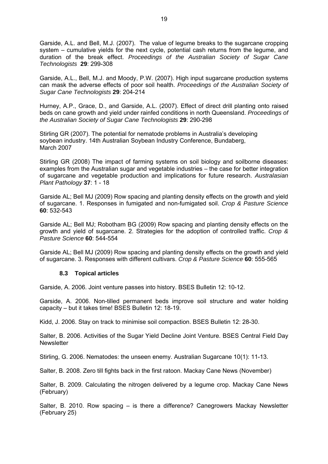Garside, A.L. and Bell, M.J. (2007). The value of legume breaks to the sugarcane cropping system – cumulative yields for the next cycle, potential cash returns from the legume, and duration of the break effect. *Proceedings of the Australian Society of Sugar Cane Technologists* **29**: 299-308

Garside, A.L., Bell, M.J. and Moody, P.W. (2007). High input sugarcane production systems can mask the adverse effects of poor soil health. *Proceedings of the Australian Society of Sugar Cane Technologists* **29**: 204-214

Hurney, A.P., Grace, D., and Garside, A.L. (2007). Effect of direct drill planting onto raised beds on cane growth and yield under rainfed conditions in north Queensland. *Proceedings of the Australian Society of Sugar Cane Technologists* **29**: 290-298

Stirling GR (2007). The potential for nematode problems in Australia's developing soybean industry. 14th Australian Soybean Industry Conference, Bundaberg, March 2007

Stirling GR (2008) The impact of farming systems on soil biology and soilborne diseases: examples from the Australian sugar and vegetable industries – the case for better integration of sugarcane and vegetable production and implications for future research. *Australasian Plant Pathology* **37**: 1 - 18

Garside AL; Bell MJ (2009) Row spacing and planting density effects on the growth and yield of sugarcane. 1. Responses in fumigated and non-fumigated soil. *Crop & Pasture Science* **60**: 532-543

Garside AL; Bell MJ; Robotham BG (2009) Row spacing and planting density effects on the growth and yield of sugarcane. 2. Strategies for the adoption of controlled traffic. *Crop & Pasture Science* **60**: 544-554

Garside AL; Bell MJ (2009) Row spacing and planting density effects on the growth and yield of sugarcane. 3. Responses with different cultivars. *Crop & Pasture Science* **60**: 555-565

## **8.3 Topical articles**

Garside, A. 2006. Joint venture passes into history. BSES Bulletin 12: 10-12.

Garside, A. 2006. Non-tilled permanent beds improve soil structure and water holding capacity – but it takes time! BSES Bulletin 12: 18-19.

Kidd, J. 2006. Stay on track to minimise soil compaction. BSES Bulletin 12: 28-30.

Salter, B. 2006. Activities of the Sugar Yield Decline Joint Venture. BSES Central Field Day **Newsletter** 

Stirling, G. 2006. Nematodes: the unseen enemy. Australian Sugarcane 10(1): 11-13.

Salter, B. 2008. Zero till fights back in the first ratoon. Mackay Cane News (November)

Salter, B. 2009. Calculating the nitrogen delivered by a legume crop. Mackay Cane News (February)

Salter, B. 2010. Row spacing – is there a difference? Canegrowers Mackay Newsletter (February 25)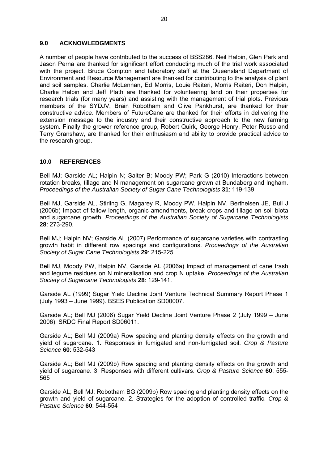### **9.0 ACKNOWLEDGMENTS**

A number of people have contributed to the success of BSS286. Neil Halpin, Glen Park and Jason Perna are thanked for significant effort conducting much of the trial work associated with the project. Bruce Compton and laboratory staff at the Queensland Department of Environment and Resource Management are thanked for contributing to the analysis of plant and soil samples. Charlie McLennan, Ed Morris, Louie Raiteri, Morris Raiteri, Don Halpin, Charlie Halpin and Jeff Plath are thanked for volunteering land on their properties for research trials (for many years) and assisting with the management of trial plots. Previous members of the SYDJV, Brain Robotham and Clive Pankhurst, are thanked for their constructive advice. Members of FutureCane are thanked for their efforts in delivering the extension message to the industry and their constructive approach to the new farming system. Finally the grower reference group, Robert Quirk, George Henry, Peter Russo and Terry Granshaw, are thanked for their enthusiasm and ability to provide practical advice to the research group.

#### **10.0 REFERENCES**

Bell MJ; Garside AL; Halpin N; Salter B; Moody PW; Park G (2010) Interactions between rotation breaks, tillage and N management on sugarcane grown at Bundaberg and Ingham. *Proceedings of the Australian Society of Sugar Cane Technologists* **31**: 119-139

Bell MJ, Garside AL, Stirling G, Magarey R, Moody PW, Halpin NV, Berthelsen JE, Bull J (2006b) Impact of fallow length, organic amendments, break crops and tillage on soil biota and sugarcane growth. *Proceedings of the Australian Society of Sugarcane Technologists* **28**: 273-290.

Bell MJ; Halpin NV; Garside AL (2007) Performance of sugarcane varieties with contrasting growth habit in different row spacings and configurations. *Proceedings of the Australian Society of Sugar Cane Technologists* **29**: 215-225

Bell MJ, Moody PW, Halpin NV, Garside AL (2006a) Impact of management of cane trash and legume residues on N mineralisation and crop N uptake. *Proceedings of the Australian Society of Sugarcane Technologists* **28**: 129-141.

Garside AL (1999) Sugar Yield Decline Joint Venture Technical Summary Report Phase 1 (July 1993 – June 1999). BSES Publication SD00007.

Garside AL; Bell MJ (2006) Sugar Yield Decline Joint Venture Phase 2 (July 1999 – June 2006). SRDC Final Report SD06011.

Garside AL; Bell MJ (2009a) Row spacing and planting density effects on the growth and yield of sugarcane. 1. Responses in fumigated and non-fumigated soil. *Crop & Pasture Science* **60**: 532-543

Garside AL; Bell MJ (2009b) Row spacing and planting density effects on the growth and yield of sugarcane. 3. Responses with different cultivars. *Crop & Pasture Science* **60**: 555- 565

Garside AL; Bell MJ; Robotham BG (2009b) Row spacing and planting density effects on the growth and yield of sugarcane. 2. Strategies for the adoption of controlled traffic. *Crop & Pasture Science* **60**: 544-554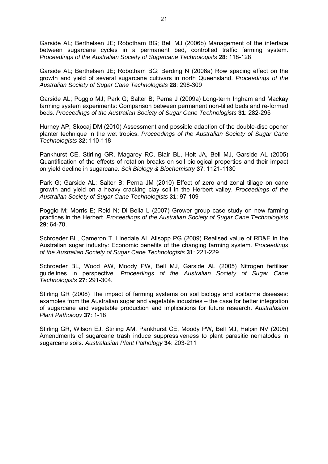Garside AL; Berthelsen JE; Robotham BG; Bell MJ (2006b) Management of the interface between sugarcane cycles in a permanent bed, controlled traffic farming system. *Proceedings of the Australian Society of Sugarcane Technologists* **28**: 118-128

Garside AL; Berthelsen JE; Robotham BG; Berding N (2006a) Row spacing effect on the growth and yield of several sugarcane cultivars in north Queensland. *Proceedings of the Australian Society of Sugar Cane Technologists* **28**: 298-309

Garside AL; Poggio MJ; Park G; Salter B; Perna J (2009a) Long-term Ingham and Mackay farming system experiments: Comparison between permanent non-tilled beds and re-formed beds. *Proceedings of the Australian Society of Sugar Cane Technologists* **31**: 282-295

Hurney AP; Skocaj DM (2010) Assessment and possible adaption of the double-disc opener planter technique in the wet tropics. *Proceedings of the Australian Society of Sugar Cane Technologists* **32**: 110-118

Pankhurst CE, Stirling GR, Magarey RC, Blair BL, Holt JA, Bell MJ, Garside AL (2005) Quantification of the effects of rotation breaks on soil biological properties and their impact on yield decline in sugarcane. *Soil Biology & Biochemistry* **37**: 1121-1130

Park G; Garside AL; Salter B; Perna JM (2010) Effect of zero and zonal tillage on cane growth and yield on a heavy cracking clay soil in the Herbert valley. *Proceedings of the Australian Society of Sugar Cane Technologists* **31**: 97-109

Poggio M; Morris E; Reid N; Di Bella L (2007) Grower group case study on new farming practices in the Herbert. *Proceedings of the Australian Society of Sugar Cane Technologists* **29**: 64-70.

Schroeder BL, Cameron T, Linedale AI, Allsopp PG (2009) Realised value of RD&E in the Australian sugar industry: Economic benefits of the changing farming system. *Proceedings of the Australian Society of Sugar Cane Technologists* **31**: 221-229

Schroeder BL, Wood AW, Moody PW, Bell MJ, Garside AL (2005) Nitrogen fertiliser guidelines in perspective. *Proceedings of the Australian Society of Sugar Cane Technologists* **27**: 291-304*.*

Stirling GR (2008) The impact of farming systems on soil biology and soilborne diseases: examples from the Australian sugar and vegetable industries – the case for better integration of sugarcane and vegetable production and implications for future research. *Australasian Plant Pathology* **37**: 1-18

Stirling GR, Wilson EJ, Stirling AM, Pankhurst CE, Moody PW, Bell MJ, Halpin NV (2005) Amendments of sugarcane trash induce suppressiveness to plant parasitic nematodes in sugarcane soils. *Australasian Plant Pathology* **34**: 203-211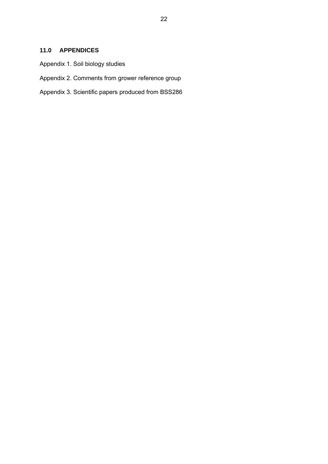## **11.0 APPENDICES**

- Appendix 1. Soil biology studies
- Appendix 2. Comments from grower reference group
- Appendix 3. Scientific papers produced from BSS286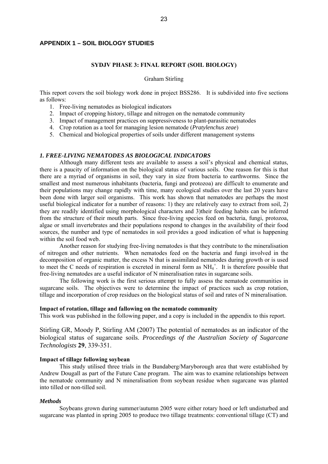#### **APPENDIX 1 – SOIL BIOLOGY STUDIES**

#### **SYDJV PHASE 3: FINAL REPORT (SOIL BIOLOGY)**

#### Graham Stirling

This report covers the soil biology work done in project BSS286. It is subdivided into five sections as follows:

- 1. Free-living nematodes as biological indicators
- 2. Impact of cropping history, tillage and nitrogen on the nematode community
- 3. Impact of management practices on suppressiveness to plant-parasitic nematodes
- 4. Crop rotation as a tool for managing lesion nematode (*Pratylenchus zeae*)
- 5. Chemical and biological properties of soils under different management systems

#### *1. FREE-LIVING NEMATODES AS BIOLOGICAL INDICATORS*

Although many different tests are available to assess a soil's physical and chemical status, there is a paucity of information on the biological status of various soils. One reason for this is that there are a myriad of organisms in soil, they vary in size from bacteria to earthworms. Since the smallest and most numerous inhabitants (bacteria, fungi and protozoa) are difficult to enumerate and their populations may change rapidly with time, many ecological studies over the last 20 years have been done with larger soil organisms. This work has shown that nematodes are perhaps the most useful biological indicator for a number of reasons: 1) they are relatively easy to extract from soil, 2) they are readily identified using morphological characters and 3)their feeding habits can be inferred from the structure of their mouth parts. Since free-living species feed on bacteria, fungi, protozoa, algae or small invertebrates and their populations respond to changes in the availability of their food sources, the number and type of nematodes in soil provides a good indication of what is happening within the soil food web.

Another reason for studying free-living nematodes is that they contribute to the mineralisation of nitrogen and other nutrients. When nematodes feed on the bacteria and fungi involved in the decomposition of organic matter, the excess N that is assimilated nematodes during growth or is used to meet the C needs of respiration is excreted in mineral form as  $NH_4^+$ . It is therefore possible that free-living nematodes are a useful indicator of N mineralisation rates in sugarcane soils.

The following work is the first serious attempt to fully assess the nematode communities in sugarcane soils. The objectives were to determine the impact of practices such as crop rotation, tillage and incorporation of crop residues on the biological status of soil and rates of N mineralisation.

#### **Impact of rotation, tillage and fallowing on the nematode community**

This work was published in the following paper, and a copy is included in the appendix to this report.

Stirling GR, Moody P, Stirling AM (2007) The potential of nematodes as an indicator of the biological status of sugarcane soils. *Proceedings of the Australian Society of Sugarcane Technologists* **29**, 339-351.

#### **Impact of tillage following soybean**

This study utilised three trials in the Bundaberg/Maryborough area that were established by Andrew Dougall as part of the Future Cane program. The aim was to examine relationships between the nematode community and N mineralisation from soybean residue when sugarcane was planted into tilled or non-tilled soil.

#### *Methods*

Soybeans grown during summer/autumn 2005 were either rotary hoed or left undisturbed and sugarcane was planted in spring 2005 to produce two tillage treatments: conventional tillage (CT) and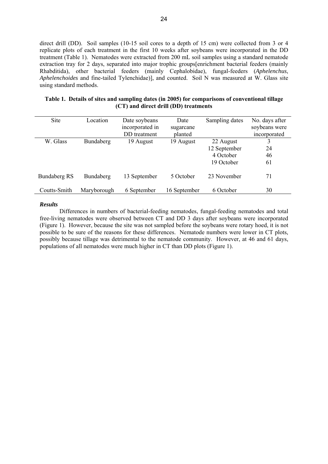direct drill (DD). Soil samples (10-15 soil cores to a depth of 15 cm) were collected from 3 or 4 replicate plots of each treatment in the first 10 weeks after soybeans were incorporated in the DD treatment (Table 1). Nematodes were extracted from 200 mL soil samples using a standard nematode extraction tray for 2 days, separated into major trophic groups[enrichment bacterial feeders (mainly Rhabditida), other bacterial feeders (mainly Cephalobidae), fungal-feeders (*Aphelenchus*, *Aphelenchoides* and fine-tailed Tylenchidae)], and counted. Soil N was measured at W. Glass site using standard methods.

|                                       | Table 1. Details of sites and sampling dates (in 2005) for comparisons of conventional tillage |
|---------------------------------------|------------------------------------------------------------------------------------------------|
| (CT) and direct drill (DD) treatments |                                                                                                |

| Site                | Location    | Date soybeans<br>incorporated in<br>DD treatment | Date<br>sugarcane<br>planted | Sampling dates | No. days after<br>soybeans were<br>incorporated |
|---------------------|-------------|--------------------------------------------------|------------------------------|----------------|-------------------------------------------------|
| W. Glass            | Bundaberg   | 19 August                                        | 19 August                    | 22 August      | 3                                               |
|                     |             |                                                  |                              | 12 September   | 24                                              |
|                     |             |                                                  |                              | 4 October      | 46                                              |
|                     |             |                                                  |                              | 19 October     | 61                                              |
| <b>Bundaberg RS</b> | Bundaberg   | 13 September                                     | 5 October                    | 23 November    | 71                                              |
| Coutts-Smith        | Maryborough | 6 September                                      | 16 September                 | 6 October      | 30                                              |

#### *Results*

Differences in numbers of bacterial-feeding nematodes, fungal-feeding nematodes and total free-living nematodes were observed between CT and DD 3 days after soybeans were incorporated (Figure 1). However, because the site was not sampled before the soybeans were rotary hoed, it is not possible to be sure of the reasons for these differences. Nematode numbers were lower in CT plots, possibly because tillage was detrimental to the nematode community. However, at 46 and 61 days, populations of all nematodes were much higher in CT than DD plots (Figure 1).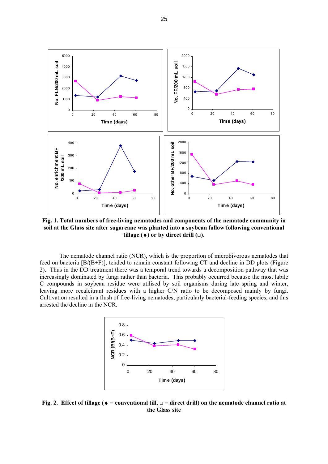

**Fig. 1. Total numbers of free-living nematodes and components of the nematode community in soil at the Glass site after sugarcane was planted into a soybean fallow following conventional tillage**  $(•)$  or by direct drill  $(□)$ .

The nematode channel ratio (NCR), which is the proportion of microbivorous nematodes that feed on bacteria [B/(B+F)], tended to remain constant following CT and decline in DD plots (Figure 2). Thus in the DD treatment there was a temporal trend towards a decomposition pathway that was increasingly dominated by fungi rather than bacteria. This probably occurred because the most labile C compounds in soybean residue were utilised by soil organisms during late spring and winter, leaving more recalcitrant residues with a higher C/N ratio to be decomposed mainly by fungi. Cultivation resulted in a flush of free-living nematodes, particularly bacterial-feeding species, and this arrested the decline in the NCR.



**Fig. 2. Effect of tillage (** $\bullet$  **= conventional till,**  $\Box$  **= direct drill) on the nematode channel ratio at the Glass site**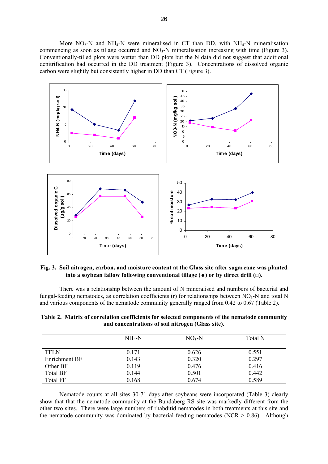More  $NO_3$ -N and  $NH_4$ -N were mineralised in CT than DD, with  $NH_4$ -N mineralisation commencing as soon as tillage occurred and  $NO_3-N$  mineralisation increasing with time (Figure 3). Conventionally-tilled plots were wetter than DD plots but the N data did not suggest that additional denitrification had occurred in the DD treatment (Figure 3). Concentrations of dissolved organic carbon were slightly but consistently higher in DD than CT (Figure 3).



**Fig. 3. Soil nitrogen, carbon, and moisture content at the Glass site after sugarcane was planted into a soybean fallow following conventional tillage**  $(\bullet)$  **or by direct drill**  $\Box$ **).** 

There was a relationship between the amount of N mineralised and numbers of bacterial and fungal-feeding nematodes, as correlation coefficients (r) for relationships between  $NO<sub>3</sub>-N$  and total N and various components of the nematode community generally ranged from 0.42 to 0.67 (Table 2).

|                 | $NH_4-N$ | $NO3-N$ | Total N |
|-----------------|----------|---------|---------|
|                 |          |         |         |
| <b>TFLN</b>     | 0.171    | 0.626   | 0.551   |
| Enrichment BF   | 0.143    | 0.320   | 0.297   |
| Other BF        | 0.119    | 0.476   | 0.416   |
| Total BF        | 0.144    | 0.501   | 0.442   |
| <b>Total FF</b> | 0.168    | 0.674   | 0.589   |

**Table 2. Matrix of correlation coefficients for selected components of the nematode community and concentrations of soil nitrogen (Glass site).** 

Nematode counts at all sites 30-71 days after soybeans were incorporated (Table 3) clearly show that that the nematode community at the Bundaberg RS site was markedly different from the other two sites. There were large numbers of rhabditid nematodes in both treatments at this site and the nematode community was dominated by bacterial-feeding nematodes (NCR  $> 0.86$ ). Although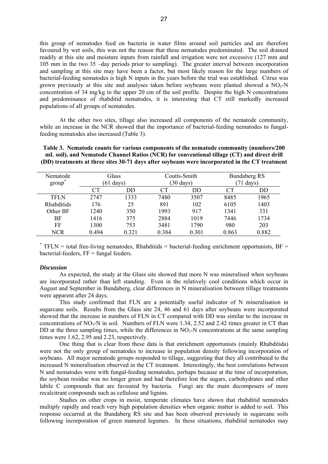this group of nematodes feed on bacteria in water films around soil particles and are therefore favoured by wet soils, this was not the reason that these nematodes predominated. The soil drained readily at this site and moisture inputs from rainfall and irrigation were not excessive (127 mm and 105 mm in the two 35 –day periods prior to sampling). The greater interval between incorporation and sampling at this site may have been a factor, but most likely reason for the large numbers of bacterial-feeding nematodes is high N inputs in the years before the trial was established. Citrus was grown previously at this site and analyses taken before soybeans were planted showed a  $NO<sub>3</sub>-N$ concentration of 34 mg/kg in the upper 20 cm of the soil profile. Despite the high N concentrations and predominance of rhabditid nematodes, it is interesting that CT still markedly increased populations of all groups of nematodes.

At the other two sites, tillage also increased all components of the nematode community, while an increase in the NCR showed that the importance of bacterial-feeding nematodes to fungalfeeding nematodes also increased (Table 3).

| Nematode<br>∗<br>group | Glass<br>$(61 \text{ days})$ |       |       | Coutts-Smith<br>$(30 \text{ days})$ | <b>Bundaberg RS</b><br>days) |       |
|------------------------|------------------------------|-------|-------|-------------------------------------|------------------------------|-------|
|                        | CТ                           | DD    | CТ    | DD                                  | CТ                           | DD    |
| TFLN                   | 2747                         | 1333  | 7480  | 3507                                | 8485                         | 1965  |
| Rhabditids             | 176                          | 25    | 891   | 102                                 | 6105                         | 1403  |
| Other BF               | 1240                         | 350   | 1993  | 917                                 | 1341                         | 331   |
| BF                     | 1416                         | 375   | 2884  | 1019                                | 7446                         | 1734  |
| FF                     | 1300                         | 753   | 3481  | 1790                                | 980                          | 203   |
| <b>NCR</b>             | 0.494                        | 0.321 | 0.384 | 0.301                               | 0.863                        | 0.882 |

**Table 3. Nematode counts for various components of the nematode community (numbers/200 mL soil), and Nematode Channel Ratios (NCR) for conventional tillage (CT) and direct drill (DD) treatments at three sites 30-71 days after soybeans were incorporated in the CT treatment** 

 $*$  TFLN = total free-living nematodes, Rhabditids = bacterial-feeding enrichment opportunists, BF = bacterial-feeders,  $FF = \text{funed}$  feeders.

#### *Discussion*

As expected, the study at the Glass site showed that more N was mineralised when soybeans are incorporated rather than left standing. Even in the relatively cool conditions which occur in August and September in Bundaberg, clear differences in N mineralisation between tillage treatments were apparent after 24 days.

This study confirmed that FLN are a potentially useful indicator of N mineralisation in sugarcane soils. Results from the Glass site 24, 46 and 61 days after soybeans were incorporated showed that the increase in numbers of FLN in CT compared with DD was similar to the increase in concentrations of  $NO_3-N$  in soil. Numbers of FLN were 1.34, 2.52 and 2.42 times greater in CT than DD at the three sampling times, while the differences in  $NO<sub>3</sub>-N$  concentrations at the same sampling times were 1.62, 2.95 and 2.23, respectively.

One thing that is clear from these data is that enrichment opportunists (mainly Rhabditida) were not the only group of nematodes to increase in population density following incorporation of soybeans. All major nematode groups responded to tillage, suggesting that they all contributed to the increased N mineralisation observed in the CT treatment. Interestingly, the best correlations between N and nematodes were with fungal-feeding nematodes, perhaps because at the time of incorporation, the soybean residue was no longer green and had therefore lost the sugars, carbohydrates and other labile C compounds that are favoured by bacteria. Fungi are the main decomposers of more recalcitrant compounds such as cellulose and lignins.

Studies on other crops in moist, temperate climates have shown that rhabditid nematodes multiply rapidly and reach very high population densities when organic matter is added to soil. This response occurred at the Bundaberg RS site and has been observed previously in sugarcane soils following incorporation of green manured legumes. In these situations, rhabditid nematodes may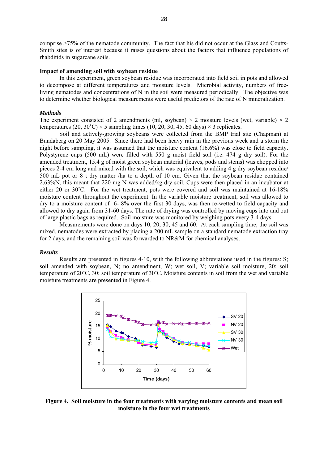comprise >75% of the nematode community. The fact that his did not occur at the Glass and Coutts-Smith sites is of interest because it raises questions about the factors that influence populations of rhabditids in sugarcane soils.

#### **Impact of amending soil with soybean residue**

In this experiment, green soybean residue was incorporated into field soil in pots and allowed to decompose at different temperatures and moisture levels. Microbial activity, numbers of freeliving nematodes and concentrations of N in the soil were measured periodically. The objective was to determine whether biological measurements were useful predictors of the rate of N mineralization.

#### *Methods*

The experiment consisted of 2 amendments (nil, soybean)  $\times$  2 moisture levels (wet, variable)  $\times$  2 temperatures (20, 30°C)  $\times$  5 sampling times (10, 20, 30, 45, 60 days)  $\times$  3 replicates.

Soil and actively-growing soybeans were collected from the BMP trial site (Chapman) at Bundaberg on 20 May 2005. Since there had been heavy rain in the previous week and a storm the night before sampling, it was assumed that the moisture content (16.6%) was close to field capacity. Polystyrene cups (500 mL) were filled with 550 g moist field soil (i.e. 474 g dry soil). For the amended treatment, 15.4 g of moist green soybean material (leaves, pods and stems) was chopped into pieces 2-4 cm long and mixed with the soil, which was equivalent to adding 4 g dry soybean residue/ 500 mL pot or 8 t dry matter /ha to a depth of 10 cm. Given that the soybean residue contained 2.63%N, this meant that 220 mg N was added/kg dry soil. Cups were then placed in an incubator at either 20 or 30˚C. For the wet treatment, pots were covered and soil was maintained at 16-18% moisture content throughout the experiment. In the variable moisture treatment, soil was allowed to dry to a moisture content of 6- 8% over the first 30 days, was then re-wetted to field capacity and allowed to dry again from 31-60 days. The rate of drying was controlled by moving cups into and out of large plastic bags as required. Soil moisture was monitored by weighing pots every 3-4 days.

Measurements were done on days 10, 20, 30, 45 and 60. At each sampling time, the soil was mixed, nematodes were extracted by placing a 200 mL sample on a standard nematode extraction tray for 2 days, and the remaining soil was forwarded to NR&M for chemical analyses.

#### *Results*

Results are presented in figures 4-10, with the following abbreviations used in the figures: S; soil amended with soybean, N; no amendment, W; wet soil, V; variable soil moisture, 20; soil temperature of 20˚C, 30; soil temperature of 30˚C. Moisture contents in soil from the wet and variable moisture treatments are presented in Figure 4.



**Figure 4. Soil moisture in the four treatments with varying moisture contents and mean soil moisture in the four wet treatments**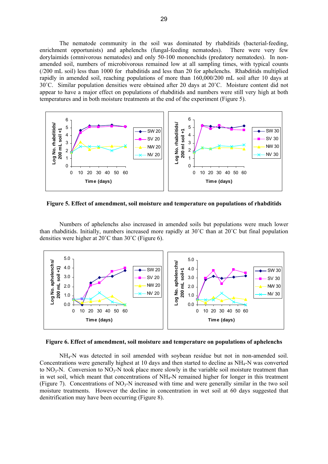The nematode community in the soil was dominated by rhabditids (bacterial-feeding, enrichment opportunists) and aphelenchs (fungal-feeding nematodes). There were very few dorylaimids (omnivorous nematodes) and only 50-100 mononchids (predatory nematodes). In nonamended soil, numbers of microbivorous remained low at all sampling times, with typical counts (/200 mL soil) less than 1000 for rhabditids and less than 20 for aphelenchs. Rhabditids multiplied rapidly in amended soil, reaching populations of more than 160,000/200 mL soil after 10 days at 30˚C. Similar population densities were obtained after 20 days at 20˚C. Moisture content did not appear to have a major effect on populations of rhabditids and numbers were still very high at both temperatures and in both moisture treatments at the end of the experiment (Figure 5).



**Figure 5. Effect of amendment, soil moisture and temperature on populations of rhabditids** 

Numbers of aphelenchs also increased in amended soils but populations were much lower than rhabditids. Initially, numbers increased more rapidly at 30˚C than at 20˚C but final population densities were higher at 20˚C than 30˚C (Figure 6).



**Figure 6. Effect of amendment, soil moisture and temperature on populations of aphelenchs** 

NH4-N was detected in soil amended with soybean residue but not in non-amended soil. Concentrations were generally highest at 10 days and then started to decline as NH4-N was converted to  $NO<sub>3</sub>-N$ . Conversion to  $NO<sub>3</sub>-N$  took place more slowly in the variable soil moisture treatment than in wet soil, which meant that concentrations of NH<sub>4</sub>-N remained higher for longer in this treatment (Figure 7). Concentrations of  $NO_3-N$  increased with time and were generally similar in the two soil moisture treatments. However the decline in concentration in wet soil at 60 days suggested that denitrification may have been occurring (Figure 8).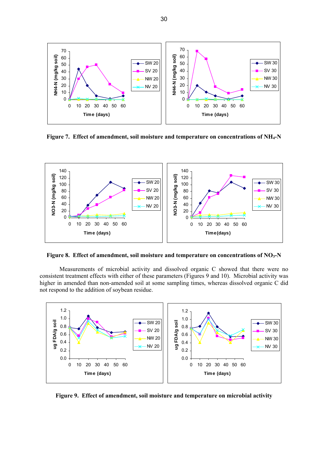

Figure 7. Effect of amendment, soil moisture and temperature on concentrations of NH<sub>4</sub>-N



Figure 8. Effect of amendment, soil moisture and temperature on concentrations of NO<sub>3</sub>-N

Measurements of microbial activity and dissolved organic C showed that there were no consistent treatment effects with either of these parameters (Figures 9 and 10). Microbial activity was higher in amended than non-amended soil at some sampling times, whereas dissolved organic C did not respond to the addition of soybean residue.



**Figure 9. Effect of amendment, soil moisture and temperature on microbial activity**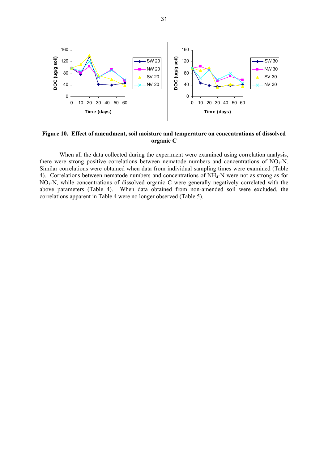

**Figure 10. Effect of amendment, soil moisture and temperature on concentrations of dissolved organic C** 

When all the data collected during the experiment were examined using correlation analysis, there were strong positive correlations between nematode numbers and concentrations of  $NO<sub>3</sub>-N$ . Similar correlations were obtained when data from individual sampling times were examined (Table 4). Correlations between nematode numbers and concentrations of NH4-N were not as strong as for NO3-N, while concentrations of dissolved organic C were generally negatively correlated with the above parameters (Table 4). When data obtained from non-amended soil were excluded, the correlations apparent in Table 4 were no longer observed (Table 5).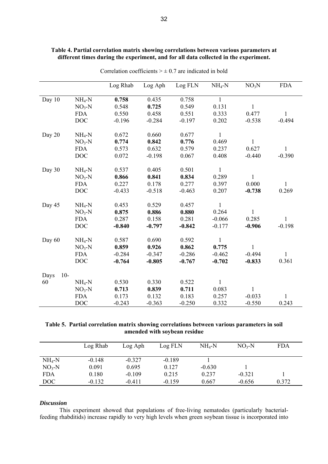|               |                          | Log Rhab | Log Aph  | Log FLN  | $NH_4-N$     | NO <sub>3</sub> N | <b>FDA</b>   |
|---------------|--------------------------|----------|----------|----------|--------------|-------------------|--------------|
|               |                          |          |          |          | $\mathbf{1}$ |                   |              |
| Day 10        | $NH_4-N$                 | 0.758    | 0.435    | 0.758    |              |                   |              |
|               | $NO3-N$                  | 0.548    | 0.725    | 0.549    | 0.131        | $\mathbf{1}$      |              |
|               | <b>FDA</b><br><b>DOC</b> | 0.550    | 0.458    | 0.551    | 0.333        | 0.477             | 1            |
|               |                          | $-0.196$ | $-0.284$ | $-0.197$ | 0.202        | $-0.538$          | $-0.494$     |
| Day 20        | $NH_4-N$                 | 0.672    | 0.660    | 0.677    | $\mathbf{1}$ |                   |              |
|               | $NO3-N$                  | 0.774    | 0.842    | 0.776    | 0.469        | $\mathbf{1}$      |              |
|               | <b>FDA</b>               | 0.573    | 0.632    | 0.579    | 0.237        | 0.627             | 1            |
|               | <b>DOC</b>               | 0.072    | $-0.198$ | 0.067    | 0.408        | $-0.440$          | $-0.390$     |
| Day 30        | $NH_4-N$                 | 0.537    | 0.405    | 0.501    | $\mathbf{1}$ |                   |              |
|               | $NO3-N$                  | 0.866    | 0.841    | 0.834    | 0.289        | 1                 |              |
|               | <b>FDA</b>               | 0.227    | 0.178    | 0.277    | 0.397        | 0.000             | 1            |
|               | <b>DOC</b>               | $-0.433$ | $-0.518$ | $-0.463$ | 0.207        | $-0.738$          | 0.269        |
|               |                          |          |          |          |              |                   |              |
| Day 45        | $NH_4-N$                 | 0.453    | 0.529    | 0.457    | $\mathbf{1}$ |                   |              |
|               | $NO3-N$                  | 0.875    | 0.886    | 0.880    | 0.264        | 1                 |              |
|               | <b>FDA</b>               | 0.287    | 0.158    | 0.281    | $-0.066$     | 0.285             | $\mathbf{1}$ |
|               | <b>DOC</b>               | $-0.840$ | $-0.797$ | $-0.842$ | $-0.177$     | $-0.906$          | $-0.198$     |
| Day 60        | $NH_4-N$                 | 0.587    | 0.690    | 0.592    | $\mathbf{1}$ |                   |              |
|               | $NO3-N$                  | 0.859    | 0.926    | 0.862    | 0.775        | 1                 |              |
|               | <b>FDA</b>               | $-0.284$ | $-0.347$ | $-0.286$ | $-0.462$     | $-0.494$          | 1            |
|               | <b>DOC</b>               | $-0.764$ | $-0.805$ | $-0.767$ | $-0.702$     | $-0.833$          | 0.361        |
|               |                          |          |          |          |              |                   |              |
| $10-$<br>Days |                          |          |          |          |              |                   |              |
| 60            | $NH_4-N$                 | 0.530    | 0.330    | 0.522    | $\mathbf{1}$ |                   |              |
|               | $NO3-N$                  | 0.713    | 0.839    | 0.711    | 0.083        | 1                 |              |
|               | <b>FDA</b>               | 0.173    | 0.132    | 0.183    | 0.257        | $-0.033$          | 1            |
|               | <b>DOC</b>               | $-0.243$ | $-0.363$ | $-0.250$ | 0.332        | $-0.550$          | 0.243        |

#### **Table 4. Partial correlation matrix showing correlations between various parameters at different times during the experiment, and for all data collected in the experiment.**

Correlation coefficients  $> \pm 0.7$  are indicated in bold

## **Table 5. Partial correlation matrix showing correlations between various parameters in soil amended with soybean residue**

|            | Log Rhab | Log Aph  | Log FLN  | $NH_4-N$ | $NO3-N$  | FDA   |
|------------|----------|----------|----------|----------|----------|-------|
| $NH4-N$    | $-0.148$ | $-0.327$ | $-0.189$ |          |          |       |
| $NO3-N$    | 0.091    | 0.695    | 0.127    | $-0.630$ |          |       |
| <b>FDA</b> | 0.180    | $-0.109$ | 0.215    | 0.237    | $-0.321$ |       |
| DOC        | $-0.132$ | $-0.411$ | $-0.159$ | 0.667    | $-0.656$ | 0.372 |

#### *Discussion*

This experiment showed that populations of free-living nematodes (particularly bacterialfeeding rhabditids) increase rapidly to very high levels when green soybean tissue is incorporated into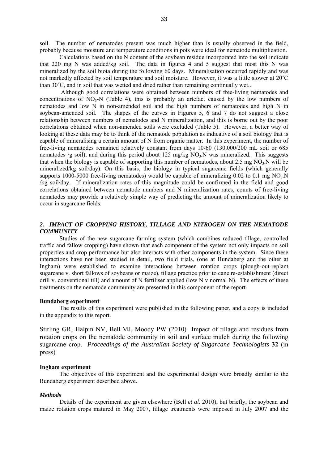soil. The number of nematodes present was much higher than is usually observed in the field, probably because moisture and temperature conditions in pots were ideal for nematode multiplication.

Calculations based on the N content of the soybean residue incorporated into the soil indicate that 220 mg N was added/kg soil. The data in figures 4 and 5 suggest that most this N was mineralized by the soil biota during the following 60 days. Mineralisation occurred rapidly and was not markedly affected by soil temperature and soil moisture. However, it was a little slower at 20˚C than 30˚C, and in soil that was wetted and dried rather than remaining continually wet..

 Although good correlations were obtained between numbers of free-living nematodes and concentrations of  $NO<sub>3</sub>-N$  (Table 4), this is probably an artefact caused by the low numbers of nematodes and low N in non-amended soil and the high numbers of nematodes and high N in soybean-amended soil. The shapes of the curves in Figures 5, 6 and 7 do not suggest a close relationship between numbers of nematodes and N mineralization, and this is borne out by the poor correlations obtained when non-amended soils were excluded (Table 5). However, a better way of looking at these data may be to think of the nematode population as indicative of a soil biology that is capable of mineralising a certain amount of N from organic matter. In this experiment, the number of free-living nematodes remained relatively constant from days 10-60 (130,000/200 mL soil or 685 nematodes /g soil), and during this period about 125 mg/kg  $NO<sub>3</sub>$ N was mineralized. This suggests that when the biology is capable of supporting this number of nematodes, about 2.5 mg  $NO<sub>3</sub>$  $N$  will be mineralized/kg soil/day). On this basis, the biology in typical sugarcane fields (which generally supports 1000-5000 free-living nematodes) would be capable of mineralizing  $0.02$  to  $0.1$  mg NO<sub>3</sub>.N /kg soil/day. If mineralization rates of this magnitude could be confirmed in the field and good correlations obtained between nematode numbers and N mineralization rates, counts of free-living nematodes may provide a relatively simple way of predicting the amount of mineralization likely to occur in sugarcane fields.

#### 2. IMPACT OF CROPPING HISTORY, TILLAGE AND NITROGEN ON THE NEMATODE *COMMUNITY*

Studies of the new sugarcane farming system (which combines reduced tillage, controlled traffic and fallow cropping) have shown that each component of the system not only impacts on soil properties and crop performance but also interacts with other components in the system. Since these interactions have not been studied in detail, two field trials, (one at Bundaberg and the other at Ingham) were established to examine interactions between rotation crops (plough-out-replant sugarcane v. short fallows of soybeans or maize), tillage practice prior to cane re-establishment (direct drill v. conventional till) and amount of N fertiliser applied (low N v normal N). The effects of these treatments on the nematode community are presented in this component of the report.

#### **Bundaberg experiment**

The results of this experiment were published in the following paper, and a copy is included in the appendix to this report.

Stirling GR, Halpin NV, Bell MJ, Moody PW (2010) Impact of tillage and residues from rotation crops on the nematode community in soil and surface mulch during the following sugarcane crop. *Proceedings of the Australian Society of Sugarcane Technologists* **32** (in press)

#### **Ingham experiment**

The objectives of this experiment and the experimental design were broadly similar to the Bundaberg experiment described above.

#### *Methods*

Details of the experiment are given elsewhere (Bell *et al*. 2010), but briefly, the soybean and maize rotation crops matured in May 2007, tillage treatments were imposed in July 2007 and the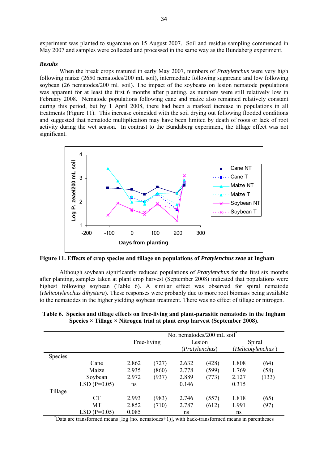experiment was planted to sugarcane on 15 August 2007. Soil and residue sampling commenced in May 2007 and samples were collected and processed in the same way as the Bundaberg experiment.

#### *Results*

When the break crops matured in early May 2007, numbers of *Pratylenchus* were very high following maize (2650 nematodes/200 mL soil), intermediate following sugarcane and low following soybean (26 nematodes/200 mL soil). The impact of the soybeans on lesion nematode populations was apparent for at least the first 6 months after planting, as numbers were still relatively low in February 2008. Nematode populations following cane and maize also remained relatively constant during this period, but by 1 April 2008, there had been a marked increase in populations in all treatments (Figure 11). This increase coincided with the soil drying out following flooded conditions and suggested that nematode multiplication may have been limited by death of roots or lack of root activity during the wet season. In contrast to the Bundaberg experiment, the tillage effect was not significant.



**Figure 11. Effects of crop species and tillage on populations of** *Pratylenchus zeae* **at Ingham** 

Although soybean significantly reduced populations of *Pratylenchus* for the first six months after planting, samples taken at plant crop harvest (September 2008) indicated that populations were highest following soybean (Table 6). A similar effect was observed for spiral nematode (*Helicotylenchus dihystera*). These responses were probably due to more root biomass being available to the nematodes in the higher yielding soybean treatment. There was no effect of tillage or nitrogen.

| No. nematodes/200 mL soil* |                |       |             |       |                          |                             |       |  |
|----------------------------|----------------|-------|-------------|-------|--------------------------|-----------------------------|-------|--|
|                            |                |       | Free-living |       | Lesion<br>(Pratylenchus) | Spiral<br>(Helicotylenchus) |       |  |
| <b>Species</b>             |                |       |             |       |                          |                             |       |  |
|                            | Cane           | 2.862 | (727)       | 2.632 | (428)                    | 1.808                       | (64)  |  |
|                            | Maize          | 2.935 | (860)       | 2.778 | (599)                    | 1.769                       | (58)  |  |
|                            | Soybean        | 2.972 | (937)       | 2.889 | (773)                    | 2.127                       | (133) |  |
|                            | $LSD(P=0.05)$  | ns    |             | 0.146 |                          | 0.315                       |       |  |
| Tillage                    |                |       |             |       |                          |                             |       |  |
|                            | CT             | 2.993 | (983)       | 2.746 | (557)                    | 1.818                       | (65)  |  |
|                            | MT             | 2.852 | (710)       | 2.787 | (612)                    | 1.991                       | (97)  |  |
|                            | $LSD$ (P=0.05) | 0.085 |             | ns    |                          | ns                          |       |  |

| Table 6. Species and tillage effects on free-living and plant-parasitic nematodes in the Ingham |
|-------------------------------------------------------------------------------------------------|
| Species $\times$ Tillage $\times$ Nitrogen trial at plant crop harvest (September 2008).        |

\* Data are transformed means [log (no. nematodes+1)], with back-transformed means in parentheses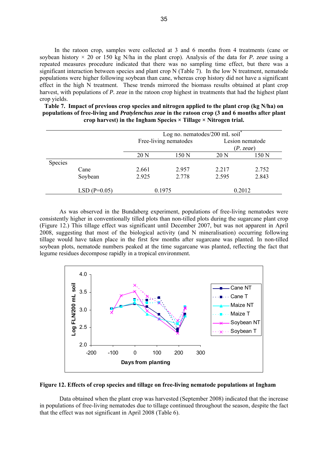In the ratoon crop, samples were collected at 3 and 6 months from 4 treatments (cane or soybean history × 20 or 150 kg N/ha in the plant crop). Analysis of the data for *P. zeae* using a repeated measures procedure indicated that there was no sampling time effect, but there was a significant interaction between species and plant crop N (Table 7). In the low N treatment, nematode populations were higher following soybean than cane, whereas crop history did not have a significant effect in the high N treatment. These trends mirrored the biomass results obtained at plant crop harvest, with populations of *P. zeae* in the ratoon crop highest in treatments that had the highest plant crop yields.

| Table 7. Impact of previous crop species and nitrogen applied to the plant crop (kg N/ha) on           |
|--------------------------------------------------------------------------------------------------------|
| populations of free-living and <i>Pratylenchus zeae</i> in the ratoon crop (3 and 6 months after plant |
| crop harvest) in the Ingham Species $\times$ Tillage $\times$ Nitrogen trial.                          |

|         |               | Log no. nematodes/200 mL soil $*$ |                       |                 |                     |  |  |  |
|---------|---------------|-----------------------------------|-----------------------|-----------------|---------------------|--|--|--|
|         |               |                                   | Free-living nematodes | Lesion nematode |                     |  |  |  |
|         |               | 20 N                              | 150 N                 | 20 N            | (P. z eae)<br>150 N |  |  |  |
| Species |               |                                   |                       |                 |                     |  |  |  |
|         | Cane          | 2.661                             | 2.957                 | 2.217           | 2.752               |  |  |  |
|         | Soybean       | 2.925                             | 2.778                 | 2.595           | 2.843               |  |  |  |
|         | $LSD(P=0.05)$ |                                   | 0.1975                |                 | 0.2012              |  |  |  |

As was observed in the Bundaberg experiment, populations of free-living nematodes were consistently higher in conventionally tilled plots than non-tilled plots during the sugarcane plant crop (Figure 12.) This tillage effect was significant until December 2007, but was not apparent in April 2008, suggesting that most of the biological activity (and N mineralisation) occurring following tillage would have taken place in the first few months after sugarcane was planted. In non-tilled soybean plots, nematode numbers peaked at the time sugarcane was planted, reflecting the fact that legume residues decompose rapidly in a tropical environment.



#### **Figure 12. Effects of crop species and tillage on free-living nematode populations at Ingham**

Data obtained when the plant crop was harvested (September 2008) indicated that the increase in populations of free-living nematodes due to tillage continued throughout the season, despite the fact that the effect was not significant in April 2008 (Table 6).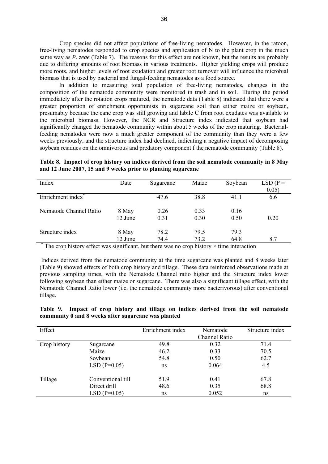Crop species did not affect populations of free-living nematodes. However, in the ratoon, free-living nematodes responded to crop species and application of N to the plant crop in the much same way as *P. zeae* (Table 7). The reasons for this effect are not known, but the results are probably due to differing amounts of root biomass in various treatments. Higher yielding crops will produce more roots, and higher levels of root exudation and greater root turnover will influence the microbial biomass that is used by bacterial and fungal-feeding nematodes as a food source.

In addition to measuring total population of free-living nematodes, changes in the composition of the nematode community were monitored in trash and in soil. During the period immediately after the rotation crops matured, the nematode data (Table 8) indicated that there were a greater proportion of enrichment opportunists in sugarcane soil than either maize or soybean, presumably because the cane crop was still growing and labile C from root exudates was available to the microbial biomass. However, the NCR and Structure index indicated that soybean had significantly changed the nematode community within about 5 weeks of the crop maturing. Bacterialfeeding nematodes were now a much greater component of the community than they were a few weeks previously, and the structure index had declined, indicating a negative impact of decomposing soybean residues on the omnivorous and predatory component f the nematode community (Table 8).

|  | Table 8. Impact of crop history on indices derived from the soil nematode community in 8 May |  |  |  |
|--|----------------------------------------------------------------------------------------------|--|--|--|
|  | and 12 June 2007, 15 and 9 weeks prior to planting sugarcane                                 |  |  |  |

| Index                                                                                             | Date    | Sugarcane | Maize | Soybean | $LSD(P =$ |
|---------------------------------------------------------------------------------------------------|---------|-----------|-------|---------|-----------|
|                                                                                                   |         |           |       |         | 0.05)     |
| Enrichment index <sup>*</sup>                                                                     |         | 47.6      | 38.8  | 41.1    | 6.6       |
| Nematode Channel Ratio                                                                            | 8 May   | 0.26      | 0.33  | 0.16    |           |
|                                                                                                   | 12 June | 0.31      | 0.30  | 0.50    | 0.20      |
| Structure index                                                                                   | 8 May   | 78.2      | 79.5  | 79.3    |           |
|                                                                                                   | 12 June | 74.4      | 73.2  | 64.8    | 8.7       |
| The group history of feet was significant but there was no even history $\times$ time interaction |         |           |       |         |           |

The crop history effect was significant, but there was no crop history  $\times$  time interaction

 Indices derived from the nematode community at the time sugarcane was planted and 8 weeks later (Table 9) showed effects of both crop history and tillage. These data reinforced observations made at previous sampling times, with the Nematode Channel ratio higher and the Structure index lower following soybean than either maize or sugarcane. There was also a significant tillage effect, with the Nematode Channel Ratio lower (i.e. the nematode community more bacterivorous) after conventional tillage.

|                                                     |  |  |  |  |  | Table 9. Impact of crop history and tillage on indices derived from the soil nematode |
|-----------------------------------------------------|--|--|--|--|--|---------------------------------------------------------------------------------------|
| community 0 and 8 weeks after sugarcane was planted |  |  |  |  |  |                                                                                       |

| Effect       |                   | Enrichment index | Nematode      | Structure index |
|--------------|-------------------|------------------|---------------|-----------------|
|              |                   |                  | Channel Ratio |                 |
| Crop history | Sugarcane         | 49.8             | 0.32          | 71.4            |
|              | Maize             | 46.2             | 0.33          | 70.5            |
|              | Soybean           | 54.8             | 0.50          | 62.7            |
|              | $LSD(P=0.05)$     | ns               | 0.064         | 4.5             |
| Tillage      | Conventional till | 51.9             | 0.41          | 67.8            |
|              | Direct drill      | 48.6             | 0.35          | 68.8            |
|              | $LSD(P=0.05)$     | ns               | 0.052         | ns              |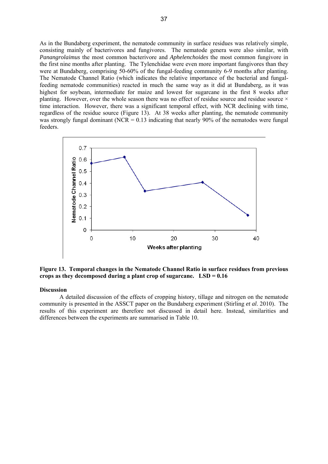As in the Bundaberg experiment, the nematode community in surface residues was relatively simple, consisting mainly of bacterivores and fungivores. The nematode genera were also similar, with *Panangrolaimus* the most common bacterivore and *Aphelenchoides* the most common fungivore in the first nine months after planting. The Tylenchidae were even more important fungivores than they were at Bundaberg, comprising 50-60% of the fungal-feeding community 6-9 months after planting. The Nematode Channel Ratio (which indicates the relative importance of the bacterial and fungalfeeding nematode communities) reacted in much the same way as it did at Bundaberg, as it was highest for soybean, intermediate for maize and lowest for sugarcane in the first 8 weeks after planting. However, over the whole season there was no effect of residue source and residue source  $\times$ time interaction. However, there was a significant temporal effect, with NCR declining with time, regardless of the residue source (Figure 13). At 38 weeks after planting, the nematode community was strongly fungal dominant (NCR =  $0.13$  indicating that nearly 90% of the nematodes were fungal feeders.



**Figure 13. Temporal changes in the Nematode Channel Ratio in surface residues from previous crops as they decomposed during a plant crop of sugarcane. LSD = 0.16** 

#### **Discussion**

A detailed discussion of the effects of cropping history, tillage and nitrogen on the nematode community is presented in the ASSCT paper on the Bundaberg experiment (Stirling *et al*. 2010). The results of this experiment are therefore not discussed in detail here. Instead, similarities and differences between the experiments are summarised in Table 10.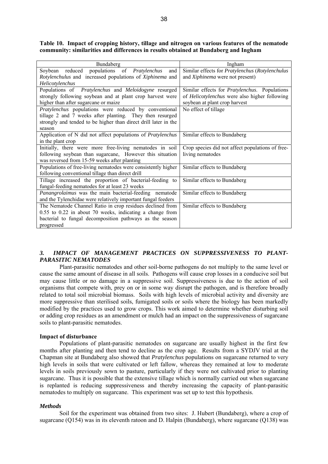**Table 10. Impact of cropping history, tillage and nitrogen on various features of the nematode community: similarities and differences in results obtained at Bundaberg and Ingham** 

| Bundaberg                                                       | Ingham                                                |  |  |  |
|-----------------------------------------------------------------|-------------------------------------------------------|--|--|--|
| Soybean reduced populations of <i>Pratylenchus</i><br>and       | Similar effects for Pratylenchus (Rotylenchulus       |  |  |  |
| Rotylenchulus and increased populations of Xiphinema and        | and Xiphinema were not present)                       |  |  |  |
| Helicotylenchus                                                 |                                                       |  |  |  |
| Populations of Pratylenchus and Meloidogyne resurged            | Similar effects for <i>Pratylenchus</i> . Populations |  |  |  |
| strongly following soybean and at plant crop harvest were       | of <i>Helicotylenchus</i> were also higher following  |  |  |  |
| higher than after sugarcane or maize                            | soybean at plant crop harvest                         |  |  |  |
| Pratylenchus populations were reduced by conventional           | No effect of tillage                                  |  |  |  |
| tillage 2 and 7 weeks after planting. They then resurged        |                                                       |  |  |  |
| strongly and tended to be higher than direct drill later in the |                                                       |  |  |  |
| season                                                          |                                                       |  |  |  |
| Application of N did not affect populations of Pratylenchus     | Similar effects to Bundaberg                          |  |  |  |
| in the plant crop                                               |                                                       |  |  |  |
| Initially, there were more free-living nematodes in soil        | Crop species did not affect populations of free-      |  |  |  |
| following soybean than sugarcane, However this situation        | living nematodes                                      |  |  |  |
| was reversed from 15-59 weeks after planting                    |                                                       |  |  |  |
| Populations of free-living nematodes were consistently higher   | Similar effects to Bundaberg                          |  |  |  |
| following conventional tillage than direct drill                |                                                       |  |  |  |
| Tillage increased the proportion of bacterial-feeding to        | Similar effects to Bundaberg                          |  |  |  |
| fungal-feeding nematodes for at least 23 weeks                  |                                                       |  |  |  |
| Panangrolaimus was the main bacterial-feeding nematode          | Similar effects to Bundaberg                          |  |  |  |
| and the Tylenchidae were relatively important fungal feeders    |                                                       |  |  |  |
| The Nematode Channel Ratio in crop residues declined from       | Similar effects to Bundaberg                          |  |  |  |
| $0.55$ to $0.22$ in about 70 weeks, indicating a change from    |                                                       |  |  |  |
| bacterial to fungal decomposition pathways as the season        |                                                       |  |  |  |
| progressed                                                      |                                                       |  |  |  |

#### *3. IMPACT OF MANAGEMENT PRACTICES ON SUPPRESSIVENESS TO PLANT-PARASITIC NEMATODES*

Plant-parasitic nematodes and other soil-borne pathogens do not multiply to the same level or cause the same amount of disease in all soils. Pathogens will cause crop losses in a conducive soil but may cause little or no damage in a suppressive soil. Suppressiveness is due to the action of soil organisms that compete with, prey on or in some way disrupt the pathogen, and is therefore broadly related to total soil microbial biomass. Soils with high levels of microbial activity and diversity are more suppressive than sterilised soils, fumigated soils or soils where the biology has been markedly modified by the practices used to grow crops. This work aimed to determine whether disturbing soil or adding crop residues as an amendment or mulch had an impact on the suppressiveness of sugarcane soils to plant-parasitic nematodes.

#### **Impact of disturbance**

Populations of plant-parasitic nematodes on sugarcane are usually highest in the first few months after planting and then tend to decline as the crop age. Results from a SYDJV trial at the Chapman site at Bundaberg also showed that *Pratylenchus* populations on sugarcane returned to very high levels in soils that were cultivated or left fallow, whereas they remained at low to moderate levels in soils previously sown to pasture, particularly if they were not cultivated prior to planting sugarcane. Thus it is possible that the extensive tillage which is normally carried out when sugarcane is replanted is reducing suppressiveness and thereby increasing the capacity of plant-parasitic nematodes to multiply on sugarcane. This experiment was set up to test this hypothesis.

#### *Methods*

Soil for the experiment was obtained from two sites: J. Hubert (Bundaberg), where a crop of sugarcane (Q154) was in its eleventh ratoon and D. Halpin (Bundaberg), where sugarcane (Q138) was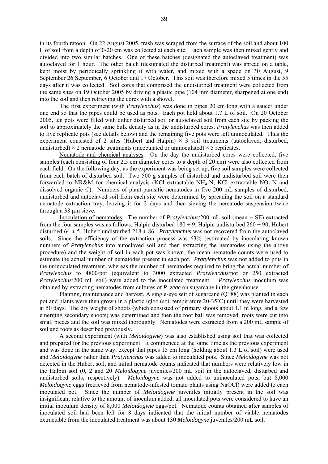in its fourth ratoon. On 22 August 2005, trash was scraped from the surface of the soil and about 100 L of soil from a depth of 0-20 cm was collected at each site. Each sample was then mixed gently and divided into two similar batches. One of these batches (designated the autoclaved treatment) was autoclaved for 1 hour. The other batch (designated the disturbed treatment) was spread on a table, kept moist by periodically sprinkling it with water, and mixed with a spade on 30 August, 9 September 26 September, 6 October and 17 October. This soil was therefore mixed 5 times in the 55 days after it was collected. Soil cores that comprised the undisturbed treatment were collected from the same sites on 19 October 2005 by driving a plastic pipe (104 mm diameter, sharpened at one end) into the soil and then retrieving the cores with a shovel.

The first experiment (with *Pratylenchus*) was done in pipes 20 cm long with a saucer under one end so that the pipes could be used as pots. Each pot held about 1.7 L of soil. On 20 October 2005, ten pots were filled with either disturbed soil or autoclaved soil from each site by packing the soil to approximately the same bulk density as in the undisturbed cores. *Pratylenchus* was then added to five replicate pots (see details below) and the remaining five pots were left uninoculated. Thus the experiment consisted of 2 sites (Hubert and Halpin)  $\times$  3 soil treatments (autoclaved, disturbed, undisturbed)  $\times$  2 nematode treatments (incoculated or uninoculated)  $\times$  5 replicates.

Nematode and chemical analyses. On the day the undisturbed cores were collected, five samples (each consisting of four 2.5 cm diameter cores to a depth of 20 cm) were also collected from each field. On the following day, as the experiment was being set up, five soil samples were collected from each batch of disturbed soil. Two 500 g samples of disturbed and undisturbed soil were then forwarded to NR&M for chemical analysis (KCl extractable NH<sub>4</sub>-N, KCl extractable NO<sub>3</sub>-N and dissolved organic C). Numbers of plant-parasitic nematodes in five 200 mL samples of disturbed, undisturbed and autoclaved soil from each site were determined by spreading the soil on a standard nematode extraction tray, leaving it for 2 days and then sieving the nematode suspension twice through a 38 µm sieve.

Inoculation of nematodes. The number of  $Pratylenchus/200$  mL soil (mean  $\pm$  SE) extracted from the four samples was as follows: Halpin disturbed  $180 \pm 9$ , Halpin undisturbed  $260 \pm 90$ , Hubert disturbed  $64 \pm 5$ , Hubert undisturbed  $218 \pm 86$ . *Pratylenchus* was not recovered from the autoclaved soils. Since the efficiency of the extraction process was 63% (estimated by inoculating known numbers of *Pratylenchus* into autoclaved soil and then extracting the nematodes using the above procedure) and the weight of soil in each pot was known, the mean nematode counts were used to estimate the actual number of nematodes present in each pot. *Pratylenchus* was not added to pots in the uninoculated treatment, whereas the number of nematodes required to bring the actual number of *Pratylenchus* to 4800/pot (equivalent to 3000 extracted *Pratylenchus*/pot or 250 extracted *Pratylenchus*/200 mL soil) were added to the inoculated treatment. *Pratylenchus* inoculum was obtained by extracting nematodes from cultures of *P. zeae* on sugarcane in the greenhouse.

Planting, maintenance and harvest. A single-eye sett of sugarcane (Q188) was planted in each pot and plants were then grown in a plastic igloo (soil temperature 20-35˚C) until they were harvested at 50 days. The dry weight of shoots (which consisted of primary shoots about 1.1 m long, and a few emerging secondary shoots) was determined and then the root ball was removed, roots were cut into small pieces and the soil was mixed thoroughly. Nematodes were extracted from a 200 mL sample of soil and roots as described previously.

A second experiment (with *Meloidogyne*) was also established using soil that was collected and prepared for the previous experiment. It commenced at the same time as the previous experiment and was done in the same way, except that pipes 15 cm long (holding about 1.3 L of soil) were used and *Meloidogyne* rather than *Pratylenchus* was added to inoculated pots. Since *Meloidogyne* was not detected in the Hubert soil, and initial nematode counts indicated that numbers were relatively low in the Halpin soil (0, 2 and 20 *Meloidogyne* juveniles/200 mL soil in the autoclaved, disturbed and undisturbed soils, respectively). *Meloidogyne* was not added to uninoculated pots, but 8,000 *Meloidogyne* eggs (retrieved from nematode-infested tomato plants using NaOCl) were added to each inoculated pot. Since the number of *Meloidogyne* juveniles initially present in the soil was insignificant relative to the amount of inoculum added, all inoculated pots were considered to have an initial inoculum density of 8,000 *Meloidogyne* eggs/pot. Nematode counts obtained after samples of inoculated soil had been left for 8 days indicated that the initial number of viable nematodes extractable from the inoculated treatment was about 130 *Meloidogyne* juveniles/200 mL soil.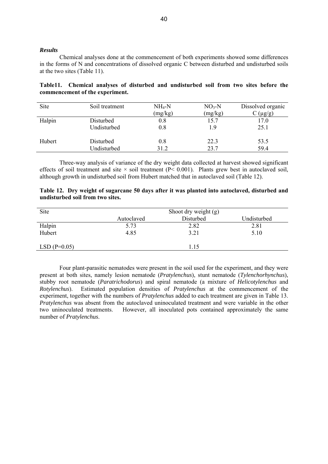#### *Results*

Chemical analyses done at the commencement of both experiments showed some differences in the forms of N and concentrations of dissolved organic C between disturbed and undisturbed soils at the two sites (Table 11).

|                                 |  |  | Table11. Chemical analyses of disturbed and undisturbed soil from two sites before the |  |  |  |
|---------------------------------|--|--|----------------------------------------------------------------------------------------|--|--|--|
| commencement of the experiment. |  |  |                                                                                        |  |  |  |

| Site   | Soil treatment | $NH_4-N$ | $NO3-N$ | Dissolved organic |
|--------|----------------|----------|---------|-------------------|
|        |                | (mg/kg)  | (mg/kg) | $(\mu g/g)$       |
| Halpin | Disturbed      | 0.8      | 15.7    | 17.0              |
|        | Undisturbed    | 0.8      | 19      | 25.1              |
| Hubert | Disturbed      | 0.8      | 22.3    | 53.5              |
|        | Undisturbed    | 31.2     | 23.7    | 59.4              |

Three-way analysis of variance of the dry weight data collected at harvest showed significant effects of soil treatment and site  $\times$  soil treatment (P $\leq$  0.001). Plants grew best in autoclaved soil, although growth in undisturbed soil from Hubert matched that in autoclaved soil (Table 12).

|                                  | Table 12. Dry weight of sugarcane 50 days after it was planted into autoclaved, disturbed and |  |  |  |  |
|----------------------------------|-----------------------------------------------------------------------------------------------|--|--|--|--|
| undisturbed soil from two sites. |                                                                                               |  |  |  |  |

| Site          | Shoot dry weight (g) |           |             |  |  |  |  |  |  |
|---------------|----------------------|-----------|-------------|--|--|--|--|--|--|
|               | Autoclaved           | Disturbed | Undisturbed |  |  |  |  |  |  |
| Halpin        | 5.73                 | 2.82      | 2.81        |  |  |  |  |  |  |
| Hubert        | 4.85                 | 3.21      | 5.10        |  |  |  |  |  |  |
| $LSD(P=0.05)$ |                      | 1.15      |             |  |  |  |  |  |  |

Four plant-parasitic nematodes were present in the soil used for the experiment, and they were present at both sites, namely lesion nematode (*Pratylenchus*), stunt nematode (*Tylenchorhynchus*), stubby root nematode (*Paratrichodorus*) and spiral nematode (a mixture of *Helicotylenchus* and *Rotylenchus*). Estimated population densities of *Pratylenchus* at the commencement of the experiment, together with the numbers of *Pratylenchus* added to each treatment are given in Table 13. *Pratylenchus* was absent from the autoclaved uninoculated treatment and were variable in the other two uninoculated treatments. However, all inoculated pots contained approximately the same number of *Pratylenchus*.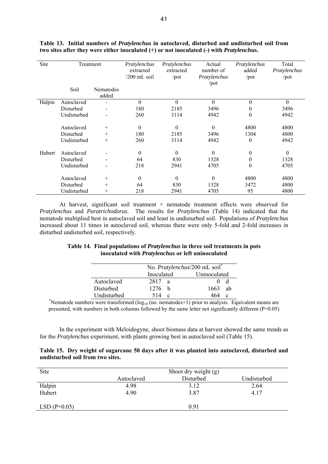| Site   | Treatment   |                          | Pratylenchus<br>extracted<br>$/200$ mL soil | Pratylenchus<br>extracted<br>$\prime$ pot | Actual<br>number of<br>Pratylenchus<br>/pot | Pratylenchus<br>added<br>$\prime$ pot | Total<br>Pratylenchus<br>$\prime$ pot |
|--------|-------------|--------------------------|---------------------------------------------|-------------------------------------------|---------------------------------------------|---------------------------------------|---------------------------------------|
|        | Soil        | Nematodes<br>added       |                                             |                                           |                                             |                                       |                                       |
| Halpin | Autoclaved  |                          | $\theta$                                    | $\theta$                                  | $\theta$                                    | $\theta$                              | $\theta$                              |
|        | Disturbed   |                          | 180                                         | 2185                                      | 3496                                        | 0                                     | 3496                                  |
|        | Undisturbed |                          | 260                                         | 3114                                      | 4942                                        | $\theta$                              | 4942                                  |
|        | Autoclaved  | $+$                      | $\mathbf{0}$                                | $\theta$                                  | $\theta$                                    | 4800                                  | 4800                                  |
|        | Disturbed   | $^{+}$                   | 180                                         | 2185                                      | 3496                                        | 1304                                  | 4800                                  |
|        | Undisturbed | $^{+}$                   | 260                                         | 3114                                      | 4942                                        | $\theta$                              | 4942                                  |
| Hubert | Autoclaved  |                          | $\mathbf{0}$                                | $\Omega$                                  | $\theta$                                    | $\theta$                              | $\mathbf{0}$                          |
|        | Disturbed   |                          | 64                                          | 830                                       | 1328                                        | $\theta$                              | 1328                                  |
|        | Undisturbed | $\overline{\phantom{a}}$ | 218                                         | 2941                                      | 4705                                        | $\theta$                              | 4705                                  |
|        | Autoclaved  | $^{+}$                   | $\boldsymbol{0}$                            | $\theta$                                  | $\theta$                                    | 4800                                  | 4800                                  |
|        | Disturbed   | $^{+}$                   | 64                                          | 830                                       | 1328                                        | 3472                                  | 4800                                  |
|        | Undisturbed | $^+$                     | 218                                         | 2941                                      | 4705                                        | 95                                    | 4800                                  |

**Table 13. Initial numbers of** *Pratylenchus* **in autoclaved, disturbed and undisturbed soil from two sites after they were either inoculated (+) or not inoculated (-) with** *Pratylenchus***.** 

At harvest, significant soil treatment  $\times$  nematode treatment effects were observed for *Pratylenchus* and *Paratrichodorus*. The results for *Pratylenchus* (Table 14) indicated that the nematode multiplied best in autoclaved soil and least in undisturbed soil. Populations of *Pratylenchus* increased about 11 times in autoclaved soil, whereas there were only 5-fold and 2-fold increases in disturbed undisturbed soil, respectively.

| Table 14. Final populations of <i>Pratylenchus</i> in three soil treatments in pots |
|-------------------------------------------------------------------------------------|
| inoculated with <i>Pratylenchus</i> or left uninoculated                            |

|             | No. Pratylenchus/200 mL soil <sup>*</sup> |            |  |  |  |  |
|-------------|-------------------------------------------|------------|--|--|--|--|
|             | Uninoculated<br>Inoculated                |            |  |  |  |  |
| Autoclaved  | 2817<br><sub>2</sub>                      |            |  |  |  |  |
| Disturbed   | 1276 h                                    | 1663<br>ah |  |  |  |  |
| Undisturbed | 514<br>$\mathbf{c}$                       | C          |  |  |  |  |

 $\frac{\text{Undisturbed}}{\text{Nematode numbers were transformed } (\log_{10} (\text{no. nematodes}+1) \text{ prior to analysis.} }$  Equivalent means are presented, with numbers in both columns followed by the same letter not significantly different (P=0.05)

In the experiment with Meloidogyne, shoot biomass data at harvest showed the same trends as for the *Pratylenchus* experiment, with plants growing best in autoclaved soil (Table 15).

|                                  | Table 15. Dry weight of sugarcane 50 days after it was planted into autoclaved, disturbed and |  |  |  |  |
|----------------------------------|-----------------------------------------------------------------------------------------------|--|--|--|--|
| undisturbed soil from two sites. |                                                                                               |  |  |  |  |

| Site          | Shoot dry weight (g) |           |             |  |  |
|---------------|----------------------|-----------|-------------|--|--|
|               | Autoclaved           | Disturbed | Undisturbed |  |  |
| Halpin        | 4.98                 | 3.12      | 2.64        |  |  |
| Hubert        | 4.90                 | 3.87      | 4.17        |  |  |
| $LSD(P=0.05)$ |                      | 0.91      |             |  |  |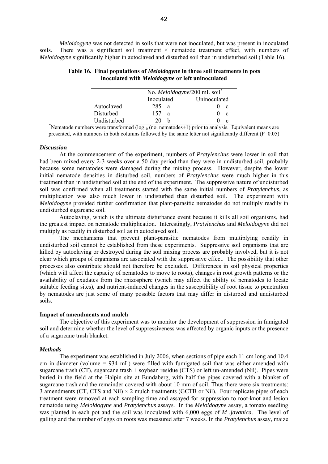*Meloidogyne* was not detected in soils that were not inoculated, but was present in inoculated soils. There was a significant soil treatment  $\times$  nematode treatment effect, with numbers of *Meloidogyne* significantly higher in autoclaved and disturbed soil than in undisturbed soil (Table 16).

|             | No. Meloidogyne/200 mL soil |    |  |  |  |  |
|-------------|-----------------------------|----|--|--|--|--|
|             | Uninoculated<br>Inoculated  |    |  |  |  |  |
| Autoclaved  | 285<br>-a                   | C  |  |  |  |  |
| Disturbed   | 157<br>a                    | -c |  |  |  |  |
| Undisturbed |                             | C  |  |  |  |  |

**Table 16. Final populations of** *Meloidogyne* **in three soil treatments in pots inoculated with** *Meloidogyne* **or left uninoculated** 

 $\frac{1}{20}$  b 0 c  $\frac{1}{20}$  b b  $\frac{1}{20}$  c  $\frac{1}{20}$  Nematode numbers were transformed (log<sub>10</sub> (no. nematodes+1) prior to analysis. Equivalent means are presented, with numbers in both columns followed by the same letter not significantly different (P=0.05)

#### *Discussion*

At the commencement of the experiment, numbers of *Pratylenchus* were lower in soil that had been mixed every 2-3 weeks over a 50 day period than they were in undisturbed soil, probably because some nematodes were damaged during the mixing process. However, despite the lower initial nematode densities in disturbed soil, numbers of *Pratylenchus* were much higher in this treatment than in undisturbed soil at the end of the experiment. The suppressive nature of undisturbed soil was confirmed when all treatments started with the same initial numbers of *Pratylenchus*, as multiplication was also much lower in undisturbed than disturbed soil. The experiment with *Meloidogyne* provided further confirmation that plant-parasitic nematodes do not multiply readily in undisturbed sugarcane soil.

Autoclaving, which is the ultimate disturbance event because it kills all soil organisms, had the greatest impact on nematode multiplication. Interestingly, *Pratylenchus* and *Meloidogyne* did not multiply as readily in disturbed soil as in autoclaved soil.

The mechanisms that prevent plant-parasitic nematodes from multiplying readily in undisturbed soil cannot be established from these experiments. Suppressive soil organisms that are killed by autoclaving or destroyed during the soil mixing process are probably involved, but it is not clear which groups of organisms are associated with the suppressive effect. The possibility that other processes also contribute should not therefore be excluded. Differences in soil physical properties (which will affect the capacity of nematodes to move to roots), changes in root growth patterns or the availability of exudates from the rhizosphere (which may affect the ability of nematodes to locate suitable feeding sites), and nutrient-induced changes in the susceptibility of root tissue to penetration by nematodes are just some of many possible factors that may differ in disturbed and undisturbed soils.

#### **Impact of amendments and mulch**

The objective of this experiment was to monitor the development of suppression in fumigated soil and determine whether the level of suppressiveness was affected by organic inputs or the presence of a sugarcane trash blanket.

#### *Methods*

The experiment was established in July 2006, when sections of pipe each 11 cm long and 10.4 cm in diameter (volume = 934 mL) were filled with fumigated soil that was either amended with sugarcane trash (CT), sugarcane trash + soybean residue (CTS) or left un-amended (Nil). Pipes were buried in the field at the Halpin site at Bundaberg, with half the pipes covered with a blanket of sugarcane trash and the remainder covered with about 10 mm of soil. Thus there were six treatments: 3 amendments (CT, CTS and Nil)  $\times$  2 mulch treatments (GCTB or Nil). Four replicate pipes of each treatment were removed at each sampling time and assayed for suppression to root-knot and lesion nematode using *Meloidogyne* and *Pratylenchus* assays. In the *Meloidogyne* assay, a tomato seedling was planted in each pot and the soil was inoculated with 6,000 eggs of *M .javanica*. The level of galling and the number of eggs on roots was measured after 7 weeks. In the *Pratylenchus* assay, maize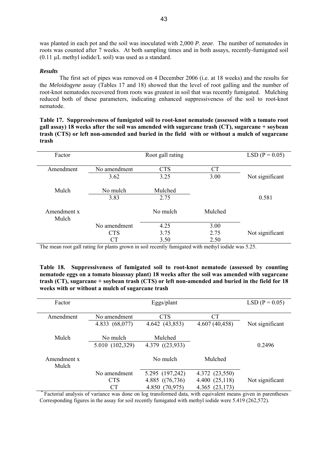was planted in each pot and the soil was inoculated with 2,000 *P*. *zeae*. The number of nematodes in roots was counted after 7 weeks. At both sampling times and in both assays, recently-fumigated soil  $(0.11 \mu L \text{ methyl iodide/L soil})$  was used as a standard.

#### *Results*

The first set of pipes was removed on 4 December 2006 (i.e. at 18 weeks) and the results for the *Meloidogyne* assay (Tables 17 and 18) showed that the level of root galling and the number of root-knot nematodes recovered from roots was greatest in soil that was recently fumigated. Mulching reduced both of these parameters, indicating enhanced suppressiveness of the soil to root-knot nematode.

**Table 17. Suppressiveness of fumigated soil to root-knot nematode (assessed with a tomato root gall assay) 18 weeks after the soil was amended with sugarcane trash (CT), sugarcane + soybean trash (CTS) or left non-amended and buried in the field with or without a mulch of sugarcane trash** 

| Factor               | Root gall rating |            |           |                 |  |  | $LSD (P = 0.05)$ |
|----------------------|------------------|------------|-----------|-----------------|--|--|------------------|
| Amendment            | No amendment     | <b>CTS</b> | <b>CT</b> |                 |  |  |                  |
|                      | 3.62             | 3.25       | 3.00      | Not significant |  |  |                  |
| Mulch                | No mulch         | Mulched    |           |                 |  |  |                  |
|                      | 3.83             | 2.75       |           | 0.581           |  |  |                  |
| Amendment x<br>Mulch |                  | No mulch   | Mulched   |                 |  |  |                  |
|                      | No amendment     | 4.25       | 3.00      |                 |  |  |                  |
|                      | <b>CTS</b>       | 3.75       | 2.75      | Not significant |  |  |                  |
|                      | <b>CT</b>        | 3.50       | 2.50      |                 |  |  |                  |

The mean root gall rating for plants grown in soil recently fumigated with methyl iodide was 5.25.

**Table 18. Suppressiveness of fumigated soil to root-knot nematode (assessed by counting nematode eggs on a tomato bioassay plant) 18 weeks after the soil was amended with sugarcane trash (CT), sugarcane + soybean trash (CTS) or left non-amended and buried in the field for 18 weeks with or without a mulch of sugarcane trash** 

| Factor               |                 | Eggs/plant             | $LSD (P = 0.05)$ |                 |  |
|----------------------|-----------------|------------------------|------------------|-----------------|--|
| Amendment            | No amendment    | <b>CTS</b>             | <b>CT</b>        |                 |  |
|                      | 4.833 (68,077)  | 4.642 (43,853)         | 4.607(40, 458)   | Not significant |  |
| Mulch                | No mulch        | Mulched                |                  |                 |  |
|                      | 5.010 (102,329) | $4.379$ ( $(23,933)$ ) |                  | 0.2496          |  |
| Amendment x<br>Mulch |                 | No mulch               | Mulched          |                 |  |
|                      | No amendment    | 5.295 (197,242)        | 4.372 (23,550)   |                 |  |
|                      | <b>CTS</b>      | 4.885 $((76, 736)$     | 4.400 (25,118)   | Not significant |  |
|                      | СT              | 4.850 (70,975)         | 4.365 (23,173)   |                 |  |

Factorial analysis of variance was done on log transformed data, with equivalent means given in parentheses Corresponding figures in the assay for soil recently fumigated with methyl iodide were 5.419 (262,572).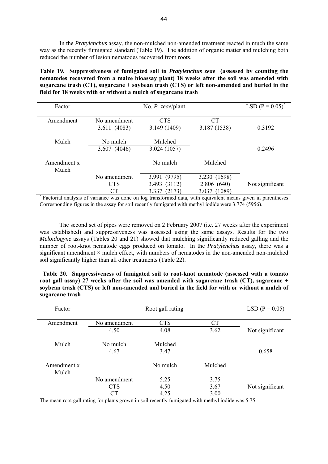In the *Pratylenchus* assay, the non-mulched non-amended treatment reacted in much the same way as the recently fumigated standard (Table 19). The addition of organic matter and mulching both reduced the number of lesion nematodes recovered from roots.

**Table 19. Suppressiveness of fumigated soil to** *Pratylenchus zeae* **(assessed by counting the nematodes recovered from a maize bioassay plant) 18 weeks after the soil was amended with sugarcane trash (CT), sugarcane + soybean trash (CTS) or left non-amended and buried in the field for 18 weeks with or without a mulch of sugarcane trash** 

| Factor               |              | No. <i>P. zeae/plant</i> |              | LSD $(P = 0.05)^*$ |
|----------------------|--------------|--------------------------|--------------|--------------------|
| Amendment            | No amendment | <b>CTS</b>               | <b>CT</b>    |                    |
|                      | 3.611(4083)  | 3.149 (1409)             | 3.187 (1538) | 0.3192             |
| Mulch                | No mulch     | Mulched                  |              |                    |
|                      | 3.607(4046)  | 3.024(1057)              |              | 0.2496             |
| Amendment x<br>Mulch |              | No mulch                 | Mulched      |                    |
|                      | No amendment | 3.991 (9795)             | 3.230 (1698) |                    |
|                      | <b>CTS</b>   | 3.493 (3112)             | 2.806(640)   | Not significant    |
|                      | CТ           | (2173)<br>3.337          | 3.037 (1089) |                    |

<sup>\*</sup> Factorial analysis of variance was done on log transformed data, with equivalent means given in parentheses Corresponding figures in the assay for soil recently fumigated with methyl iodide were 3.774 (5956).

The second set of pipes were removed on 2 February 2007 (i.e. 27 weeks after the experiment was established) and suppressiveness was assessed using the same assays. Results for the two *Meloidogyne* assays (Tables 20 and 21) showed that mulching significantly reduced galling and the number of root-knot nematode eggs produced on tomato. In the *Pratylenchus* assay, there was a significant amendment  $\times$  mulch effect, with numbers of nematodes in the non-amended non-mulched soil significantly higher than all other treatments (Table 22).

 **Table 20. Suppressiveness of fumigated soil to root-knot nematode (assessed with a tomato root gall assay) 27 weeks after the soil was amended with sugarcane trash (CT), sugarcane + soybean trash (CTS) or left non-amended and buried in the field for with or without a mulch of sugarcane trash** 

| Factor               |              | Root gall rating |           | $LSD (P = 0.05)$ |
|----------------------|--------------|------------------|-----------|------------------|
| Amendment            | No amendment | <b>CTS</b>       | <b>CT</b> |                  |
|                      | 4.50         | 4.08             | 3.62      | Not significant  |
| Mulch                | No mulch     | Mulched          |           |                  |
|                      | 4.67         | 3.47             |           | 0.658            |
| Amendment x<br>Mulch |              | No mulch         | Mulched   |                  |
|                      | No amendment | 5.25             | 3.75      |                  |
|                      | <b>CTS</b>   | 4.50             | 3.67      | Not significant  |
|                      | <b>CT</b>    | 4.25             | 3.00      |                  |

The mean root gall rating for plants grown in soil recently fumigated with methyl iodide was 5.75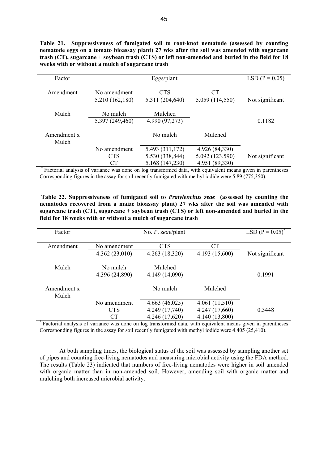**Table 21. Suppressiveness of fumigated soil to root-knot nematode (assessed by counting nematode eggs on a tomato bioassay plant) 27 wks after the soil was amended with sugarcane trash (CT), sugarcane + soybean trash (CTS) or left non-amended and buried in the field for 18 weeks with or without a mulch of sugarcane trash** 

| Factor               |                 | $LSD (P = 0.05)$ |                 |                 |
|----------------------|-----------------|------------------|-----------------|-----------------|
| Amendment            | No amendment    | <b>CTS</b>       | СT              |                 |
|                      | 5.210 (162,180) | 5.311 (204,640)  | 5.059 (114,550) | Not significant |
| Mulch                | No mulch        | Mulched          |                 |                 |
|                      | 5.397 (249,460) | 4.990 (97,273)   |                 | 0.1182          |
| Amendment x<br>Mulch |                 | No mulch         | Mulched         |                 |
|                      | No amendment    | 5.493 (311,172)  | 4.926 (84,330)  |                 |
|                      | <b>CTS</b>      | 5.530 (338,844)  | 5.092 (123,590) | Not significant |
|                      | <b>CT</b>       | 5.168 (147,230)  | 4.951 (89,330)  |                 |

Factorial analysis of variance was done on log transformed data, with equivalent means given in parentheses Corresponding figures in the assay for soil recently fumigated with methyl iodide were 5.89 (775,350).

**Table 22. Suppressiveness of fumigated soil to** *Pratylenchus zeae* **(assessed by counting the nematodes recovered from a maize bioassay plant) 27 wks after the soil was amended with sugarcane trash (CT), sugarcane + soybean trash (CTS) or left non-amended and buried in the field for 18 weeks with or without a mulch of sugarcane trash** 

| Factor               |                | No. <i>P. zeae</i> /plant |                | LSD $(P = 0.05)^{*}$ |
|----------------------|----------------|---------------------------|----------------|----------------------|
| Amendment            | No amendment   | <b>CTS</b>                | <b>CT</b>      |                      |
|                      |                |                           |                |                      |
|                      | 4.362(23,010)  | 4.263 (18,320)            | 4.193 (15,600) | Not significant      |
|                      |                |                           |                |                      |
| Mulch                | No mulch       | Mulched                   |                |                      |
|                      | 4.396 (24,890) | 4.149 (14,090)            |                | 0.1991               |
| Amendment x<br>Mulch |                | No mulch                  | Mulched        |                      |
|                      | No amendment   | 4.663(46,025)             | 4.061(11,510)  |                      |
|                      | <b>CTS</b>     | 4.249 (17,740)            | 4.247 (17,660) | 0.3448               |
|                      | CТ             | 4.246 (17,620)            | 4.140 (13,800) |                      |

Factorial analysis of variance was done on log transformed data, with equivalent means given in parentheses Corresponding figures in the assay for soil recently fumigated with methyl iodide were 4.405 (25,410).

At both sampling times, the biological status of the soil was assessed by sampling another set of pipes and counting free-living nematodes and measuring microbial activity using the FDA method. The results (Table 23) indicated that numbers of free-living nematodes were higher in soil amended with organic matter than in non-amended soil. However, amending soil with organic matter and mulching both increased microbial activity.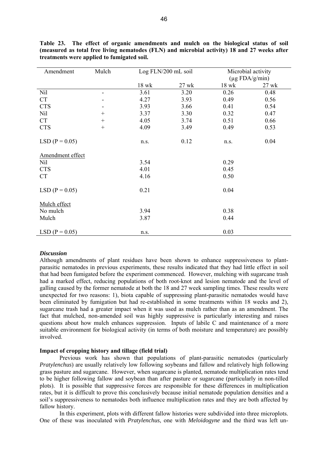| Amendment        | Mulch | Log FLN/200 mL soil |         | Microbial activity |                     |
|------------------|-------|---------------------|---------|--------------------|---------------------|
|                  |       |                     |         |                    | $(\mu g$ FDA/g/min) |
|                  |       | $18$ wk             | $27$ wk | $18$ wk            | 27 wk               |
| Nil              | ۰     | 3.61                | 3.20    | 0.26               | 0.48                |
| <b>CT</b>        |       | 4.27                | 3.93    | 0.49               | 0.56                |
| <b>CTS</b>       |       | 3.93                | 3.66    | 0.41               | 0.54                |
| Nil              | $+$   | 3.37                | 3.30    | 0.32               | 0.47                |
| <b>CT</b>        | $+$   | 4.05                | 3.74    | 0.51               | 0.66                |
| <b>CTS</b>       | $+$   | 4.09                | 3.49    | 0.49               | 0.53                |
| $LSD (P = 0.05)$ |       | n.s.                | 0.12    | n.s.               | 0.04                |
| Amendment effect |       |                     |         |                    |                     |
| Nil              |       | 3.54                |         | 0.29               |                     |
| <b>CTS</b>       |       | 4.01                |         | 0.45               |                     |
| <b>CT</b>        |       | 4.16                |         | 0.50               |                     |
| $LSD (P = 0.05)$ |       | 0.21                |         | 0.04               |                     |
| Mulch effect     |       |                     |         |                    |                     |
| No mulch         |       | 3.94                |         | 0.38               |                     |
| Mulch            |       | 3.87                |         | 0.44               |                     |
| $LSD (P = 0.05)$ |       | n.s.                |         | 0.03               |                     |

**Table 23. The effect of organic amendments and mulch on the biological status of soil (measured as total free living nematodes (FLN) and microbial activity) 18 and 27 weeks after treatments were applied to fumigated soil.** 

#### *Discussion*

Although amendments of plant residues have been shown to enhance suppressiveness to plantparasitic nematodes in previous experiments, these results indicated that they had little effect in soil that had been fumigated before the experiment commenced. However, mulching with sugarcane trash had a marked effect, reducing populations of both root-knot and lesion nematode and the level of galling caused by the former nematode at both the 18 and 27 week sampling times. These results were unexpected for two reasons: 1), biota capable of suppressing plant-parasitic nematodes would have been eliminated by fumigation but had re-established in some treatments within 18 weeks and 2), sugarcane trash had a greater impact when it was used as mulch rather than as an amendment. The fact that mulched, non-amended soil was highly suppressive is particularly interesting and raises questions about how mulch enhances suppression. Inputs of labile C and maintenance of a more suitable environment for biological activity (in terms of both moisture and temperature) are possibly involved.

#### **Impact of cropping history and tillage (field trial)**

Previous work has shown that populations of plant-parasitic nematodes (particularly *Pratylenchus*) are usually relatively low following soybeans and fallow and relatively high following grass pasture and sugarcane. However, when sugarcane is planted, nematode multiplication rates tend to be higher following fallow and soybean than after pasture or sugarcane (particularly in non-tilled plots). It is possible that suppressive forces are responsible for these differences in multiplication rates, but it is difficult to prove this conclusively because initial nematode population densities and a soil's suppressiveness to nematodes both influence multiplication rates and they are both affected by fallow history.

In this experiment, plots with different fallow histories were subdivided into three microplots. One of these was inoculated with *Pratylenchus*, one with *Meloidogyne* and the third was left un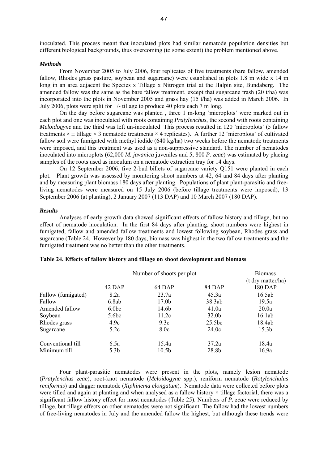inoculated. This process meant that inoculated plots had similar nematode population densities but different biological backgrounds, thus overcoming (to some extent) the problem mentioned above.

#### *Methods*

From November 2005 to July 2006, four replicates of five treatments (bare fallow, amended fallow, Rhodes grass pasture, soybean and sugarcane) were established in plots 1.8 m wide x 14 m long in an area adjacent the Species x Tillage x Nitrogen trial at the Halpin site, Bundaberg. The amended fallow was the same as the bare fallow treatment, except that sugarcane trash (20 t/ha) was incorporated into the plots in November 2005 and grass hay (15 t/ha) was added in March 2006. In July 2006, plots were split for +/- tillage to produce 40 plots each 7 m long.

On the day before sugarcane was planted , three 1 m-long 'microplots' were marked out in each plot and one was inoculated with roots containing *Pratylenchus*, the second with roots containing *Meloidogyne* and the third was left un-inoculated This process resulted in 120 'microplots' (5 fallow treatments  $\times \pm$  tillage  $\times$  3 nematode treatments  $\times$  4 replicates). A further 12 'microplots' of cultivated fallow soil were fumigated with methyl iodide (640 kg/ha) two weeks before the nematode treatments were imposed, and this treatment was used as a non-suppressive standard. The number of nematodes inoculated into microplots (62,000 *M. javanica* juveniles and 5, 800 *P. zeae*) was estimated by placing samples of the roots used as inoculum on a nematode extraction tray for 14 days.

On 12 September 2006, five 2-bud billets of sugarcane variety Q151 were planted in each plot. Plant growth was assessed by monitoring shoot numbers at 42, 64 and 84 days after planting and by measuring plant biomass 180 days after planting. Populations of plant plant-parasitic and freeliving nematodes were measured on 15 July 2006 (before tillage treatments were imposed), 13 September 2006 (at planting), 2 January 2007 (113 DAP) and 10 March 2007 (180 DAP).

#### *Results*

Analyses of early growth data showed significant effects of fallow history and tillage, but no effect of nematode inoculation. In the first 84 days after planting, shoot numbers were highest in fumigated, fallow and amended fallow treatments and lowest following soybean, Rhodes grass and sugarcane (Table 24. However by 180 days, biomass was highest in the two fallow treatments and the fumigated treatment was no better than the other treatments.

|                    |                  | Number of shoots per plot |                   | <b>Biomass</b>    |
|--------------------|------------------|---------------------------|-------------------|-------------------|
|                    |                  |                           |                   | (t dry matter/ha) |
|                    | 42 DAP           | 64 DAP                    | 84 DAP            | 180 DAP           |
| Fallow (fumigated) | 8.2a             | 23.7a                     | 45.3a             | 16.5ab            |
| Fallow             | 6.8ab            | 17.0 <sub>b</sub>         | 38.3ab            | 19.5a             |
| Amended fallow     | 6.0 <sub>b</sub> | 14.6b                     | 41.0a             | 20.0a             |
| Soybean            | 5.6bc            | 11.2c                     | 32.0 <sub>b</sub> | 16.1ab            |
| Rhodes grass       | 4.9c             | 9.3c                      | 25.5bc            | 18.4ab            |
| Sugarcane          | 5.2c             | 8.0c                      | 24.0c             | 15.3 <sub>b</sub> |
| Conventional till  | 6.5a             | 15.4a                     | 37.2a             | 18.4a             |
| Minimum till       | 5.3 <sub>b</sub> | 10.5 <sub>b</sub>         | 28.8b             | 16.9a             |

| Table 24. Effects of fallow history and tillage on shoot development and biomass |  |  |  |  |  |
|----------------------------------------------------------------------------------|--|--|--|--|--|
|----------------------------------------------------------------------------------|--|--|--|--|--|

Four plant-parasitic nematodes were present in the plots, namely lesion nematode (*Pratylenchus zeae*), root-knot nematode (*Meloidogyne* spp.), reniform nematode (*Rotylenchulus reniformis*) and dagger nematode (*Xiphinema elongatum*). Nematode data were collected before plots were tilled and again at planting and when analysed as a fallow history  $\times$  tillage factorial, there was a significant fallow history effect for most nematodes (Table 25). Numbers of *P. zeae* were reduced by tillage, but tillage effects on other nematodes were not significant. The fallow had the lowest numbers of free-living nematodes in July and the amended fallow the highest, but although these trends were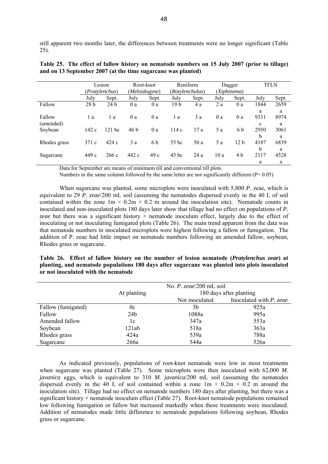still apparent two months later, the differences between treatments were no longer significant (Table 25).

|                      |                 | Lesion<br>Pratylenchus) |       | Root-knot<br>(Meloidogyne) |                 | Reniform<br>(Rotylenchulus) |      | Dagger<br>(Xiphinema) |                          | <b>TFLN</b>    |  |
|----------------------|-----------------|-------------------------|-------|----------------------------|-----------------|-----------------------------|------|-----------------------|--------------------------|----------------|--|
|                      | July            | Sept.                   | July  | Sept.                      | July            | Sept.                       | July | Sept.                 | July                     | Sept.          |  |
| Fallow               | 28 <sub>b</sub> | 24h                     | 0a    | 0a                         | 19 <sub>b</sub> | 4 a                         | 2a   | 0 a                   | 1844                     | 2659           |  |
| Fallow               | 1 a             | l a                     | 0a    | 0a                         | 1 a             | 3a                          | 0a   | 0a                    | a<br>9331                | a<br>8974      |  |
| (amended)<br>Soybean | 142c            | $121$ bc                | 46 b  | 0 a                        | 114c            | 17 a                        | 5 a  | 6 b                   | $\mathbf c$<br>2950<br>b | a<br>3061<br>a |  |
| Rhodes grass         | 371c            | 424c                    | 3a    | 6 b                        | 55 bc           | 50 a                        | 5 a  | 12 <sub>b</sub>       | 4187<br>b                | 6839<br>a      |  |
| Sugarcane            | 449 c           | 266 c                   | 442 c | 49c                        | $45$ bc         | 24a                         | 10a  | 4 b                   | 2117<br>a                | 4528<br>a      |  |

**Table 25. The effect of fallow history on nematode numbers on 15 July 2007 (prior to tillage) and on 13 September 2007 (at the time sugarcane was planted)** 

Data for September are means of minimum till and conventional till plots.

Numbers in the same column followed by the same letter are not significantly different ( $P= 0.05$ )

When sugarcane was planted, some microplots were inoculated with 5,800 *P*. zeae, which is equivalent to 29 *P. zeae*/200 mL soil (assuming the nematodes dispersed evenly in the 40 L of soil contained within the zone  $1m \times 0.2m \times 0.2$  m around the inoculation site). Nematode counts in inoculated and non-inoculated plots 180 days later show that tillage had no effect on populations of *P.*  zeae but there was a significant history  $\times$  nematode inoculum effect, largely due to the effect of inoculating or not inoculating fumigated plots (Table 26). The main trend apparent from the data was that nematode numbers in inoculated microplots were highest following a fallow or fumigation. The addition of P. zeae had little impact on nematode numbers following an amended fallow, soybean, Rhodes grass or sugarcane.

**Table 26. Effect of fallow history on the number of lesion nematode (***Pratylenchus zeae***) at planting, and nematode populations 180 days after sugarcane was planted into plots inoculated or not inoculated with the nematode** 

|                    |                 | No. $P.$ zeae/200 mL soil |                         |  |  |
|--------------------|-----------------|---------------------------|-------------------------|--|--|
|                    | At planting     | 180 days after planting   |                         |  |  |
|                    |                 | Not inoculated            | Inoculated with P. zeae |  |  |
| Fallow (fumigated) | 0c              | 3b                        | 925a                    |  |  |
| Fallow             | 24 <sub>b</sub> | 1088a                     | 995a                    |  |  |
| Amended fallow     | 1c              | 347a                      | 553a                    |  |  |
| Soybean            | 121ab           | 518a                      | 363a                    |  |  |
| Rhodes grass       | 424a            | 539a                      | 788a                    |  |  |
| Sugarcane          | 266a            | 544a                      | 526a                    |  |  |

As indicated previously, populations of root-knot nematode were low in most treatments when sugarcane was planted (Table 27). Some microplots were then inoculated with 62,000 *M*. *javanica* eggs, which is equivalent to 310 *M. javanica*/200 mL soil (assuming the nematodes dispersed evenly in the 40 L of soil contained within a zone  $1m \times 0.2m \times 0.2$  m around the inoculation site). Tillage had no effect on nematode numbers 180 days after planting, but there was a significant history  $\times$  nematode inoculum effect (Table 27). Root-knot nematode populations remained low following fumigation or fallow but increased markedly when these treatments were inoculated. Addition of nematodes made little difference to nematode populations following soybean, Rhodes grass or sugarcane.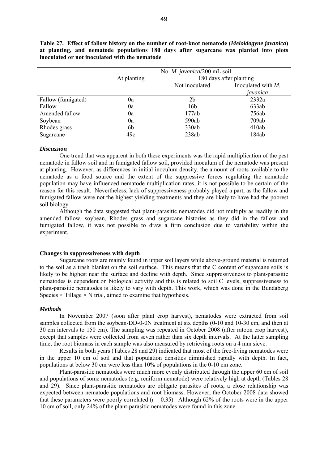|                    |             | No. <i>M. javanica</i> /200 mL soil |                    |  |  |  |
|--------------------|-------------|-------------------------------------|--------------------|--|--|--|
|                    | At planting | 180 days after planting             |                    |  |  |  |
|                    |             | Not inoculated                      | Inoculated with M. |  |  |  |
|                    |             |                                     | javanica           |  |  |  |
| Fallow (fumigated) | 0a          | 2b                                  | 2332a              |  |  |  |
| Fallow             | 0a          | 16b                                 | 633ab              |  |  |  |
| Amended fallow     | 0a          | 177ab                               | 756ab              |  |  |  |
| Soybean            | 0a          | 590ab                               | 709ab              |  |  |  |
| Rhodes grass       | 6b          | 330ab                               | 410ab              |  |  |  |
| Sugarcane          | 49c         | 238ab                               | 184ab              |  |  |  |

**Table 27. Effect of fallow history on the number of root-knot nematode (***Meloidogyne javanica***) at planting, and nematode populations 180 days after sugarcane was planted into plots inoculated or not inoculated with the nematode** 

#### *Discussion*

One trend that was apparent in both these experiments was the rapid multiplication of the pest nematode in fallow soil and in fumigated fallow soil, provided inoculum of the nematode was present at planting. However, as differences in initial inoculum density, the amount of roots available to the nematode as a food source and the extent of the suppressive forces regulating the nematode population may have influenced nematode multiplication rates, it is not possible to be certain of the reason for this result. Nevertheless, lack of suppressiveness probably played a part, as the fallow and fumigated fallow were not the highest yielding treatments and they are likely to have had the poorest soil biology.

Although the data suggested that plant-parasitic nematodes did not multiply as readily in the amended fallow, soybean, Rhodes grass and sugarcane histories as they did in the fallow and fumigated fallow, it was not possible to draw a firm conclusion due to variability within the experiment.

#### **Changes in suppressiveness with depth**

Sugarcane roots are mainly found in upper soil layers while above-ground material is returned to the soil as a trash blanket on the soil surface. This means that the C content of sugarcane soils is likely to be highest near the surface and decline with depth. Since suppressiveness to plant-parasitic nematodes is dependent on biological activity and this is related to soil C levels, suppressiveness to plant-parasitic nematodes is likely to vary with depth. This work, which was done in the Bundaberg Species  $\times$  Tillage  $\times$  N trial, aimed to examine that hypothesis.

#### *Methods*

In November 2007 (soon after plant crop harvest), nematodes were extracted from soil samples collected from the soybean-DD-0-0N treatment at six depths (0-10 and 10-30 cm, and then at 30 cm intervals to 150 cm). The sampling was repeated in October 2008 (after ratoon crop harvest), except that samples were collected from seven rather than six depth intervals. At the latter sampling time, the root biomass in each sample was also measured by retrieving roots on a 4 mm sieve.

Results in both years (Tables 28 and 29) indicated that most of the free-living nematodes were in the upper 10 cm of soil and that population densities diminished rapidly with depth. In fact, populations at below 30 cm were less than 10% of populations in the 0-10 cm zone.

Plant-parasitic nematodes were much more evenly distributed through the upper 60 cm of soil and populations of some nematodes (e.g. reniform nematode) were relatively high at depth (Tables 28 and 29). Since plant-parasitic nematodes are obligate parasites of roots, a close relationship was expected between nematode populations and root biomass. However, the October 2008 data showed that these parameters were poorly correlated ( $r = 0.35$ ). Although 62% of the roots were in the upper 10 cm of soil, only 24% of the plant-parasitic nematodes were found in this zone.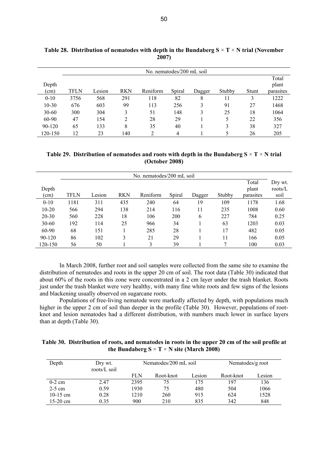|               | No. nematodes/200 mL soil |        |                |          |        |        |        |       |                             |  |  |
|---------------|---------------------------|--------|----------------|----------|--------|--------|--------|-------|-----------------------------|--|--|
| Depth<br>(cm) | <b>TFLN</b>               | Lesion | <b>RKN</b>     | Reniform | Spiral | Dagger | Stubby | Stunt | Total<br>plant<br>parasites |  |  |
| $0 - 10$      | 3756                      | 568    | 291            | 118      | 82     | 8      | 11     | 3     | 1222                        |  |  |
| $10-30$       | 676                       | 603    | 99             | 113      | 256    | 3      | 91     | 27    | 1468                        |  |  |
| $30 - 60$     | 300                       | 304    | 3              | 51       | 148    | 3      | 25     | 18    | 1064                        |  |  |
| 60-90         | 47                        | 154    | $\overline{2}$ | 28       | 29     |        | 5      | 22    | 356                         |  |  |
| 90-120        | 65                        | 133    | 8              | 35       | 40     |        | 3      | 38    | 327                         |  |  |
| 120-150       | 12                        | 23     | 140            | ∍        | 4      |        | 5      | 26    | 205                         |  |  |

**Table 28. Distribution of nematodes with depth in the Bundaberg S** × **T** × **N trial (November 2007)** 

**Table 29. Distribution of nematodes and roots with depth in the Bundaberg S** × **T** × **N trial (October 2008)** 

|           | No. nematodes/200 mL soil |        |            |          |        |        |        |           |            |  |
|-----------|---------------------------|--------|------------|----------|--------|--------|--------|-----------|------------|--|
|           |                           |        |            |          |        |        |        | Total     | Dry wt.    |  |
| Depth     |                           |        |            |          |        |        |        | plant     | roots/ $L$ |  |
| (cm)      | TFLN                      | Lesion | <b>RKN</b> | Reniform | Spiral | Dagger | Stubby | parasites | soil       |  |
| $0 - 10$  | 1181                      | 311    | 435        | 240      | 64     | 19     | 109    | 1178      | 1.68       |  |
| $10-20$   | 566                       | 294    | 138        | 214      | 116    | 11     | 235    | 1008      | 0.60       |  |
| 20-30     | 560                       | 228    | 18         | 106      | 200    | 6      | 227    | 784       | 0.25       |  |
| $30 - 60$ | 192                       | 114    | 25         | 966      | 34     |        | 63     | 1203      | 0.03       |  |
| 60-90     | 68                        | 151    |            | 285      | 28     |        | 17     | 482       | 0.05       |  |
| 90-120    | 86                        | 102    | 3          | 21       | 29     |        | 11     | 166       | 0.05       |  |
| 120-150   | 56                        | 50     |            | 3        | 39     |        |        | 100       | 0.03       |  |

In March 2008, further root and soil samples were collected from the same site to examine the distribution of nematodes and roots in the upper 20 cm of soil. The root data (Table 30) indicated that about 60% of the roots in this zone were concentrated in a 2 cm layer under the trash blanket. Roots just under the trash blanket were very healthy, with many fine white roots and few signs of the lesions and blackening usually observed on sugarcane roots.

Populations of free-living nematode were markedly affected by depth, with populations much higher in the upper 2 cm of soil than deeper in the profile (Table 30). However, populations of rootknot and lesion nematodes had a different distribution, with numbers much lower in surface layers than at depth (Table 30).

| Table 30. Distribution of roots, and nematodes in roots in the upper 20 cm of the soil profile at |
|---------------------------------------------------------------------------------------------------|
| the Bundaberg $S \times T \times N$ site (March 2008)                                             |

| Depth      | Dry wt.<br>roots/L soil |            | Nematodes/200 mL soil | Nematodes/g root |           |        |
|------------|-------------------------|------------|-----------------------|------------------|-----------|--------|
|            |                         | <b>FLN</b> | Root-knot             | Lesion           | Root-knot | Lesion |
| $0-2$ cm   | 2.47                    | 2395       | 75                    | 175              | 197       | 136    |
| $2-5$ cm   | 0.59                    | 1930       | 75                    | 480              | 504       | 1066   |
| $10-15$ cm | 0.28                    | 1210       | 260                   | 915              | 624       | 1528   |
| $15-20$ cm | 0.35                    | 900        | 210                   | 835              | 342       | 848    |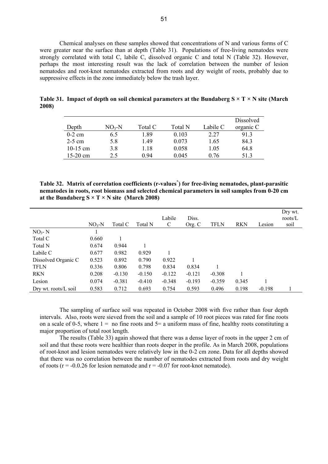Chemical analyses on these samples showed that concentrations of N and various forms of C were greater near the surface than at depth (Table 31). Populations of free-living nematodes were strongly correlated with total C, labile C, dissolved organic C and total N (Table 32). However, perhaps the most interesting result was the lack of correlation between the number of lesion nematodes and root-knot nematodes extracted from roots and dry weight of roots, probably due to suppressive effects in the zone immediately below the trash layer.

|            |         |         |         |          | Dissolved |
|------------|---------|---------|---------|----------|-----------|
| Depth      | $NO3-N$ | Total C | Total N | Labile C | organic C |
| $0-2$ cm   | 6.5     | -89     | 0.103   | 2.27     | 913       |
| $2-5$ cm   | 5.8     | 1.49    | 0.073   | 1.65     | 84.3      |
| 10-15 cm   | 3.8     | 1.18    | 0.058   | 1.05     | 64.8      |
| $15-20$ cm | 2.5     | 0.94    | 0.045   | 0 76     | 513       |

**Table 31. Impact of depth on soil chemical parameters at the Bundaberg S × T × N site (March 2008)** 

**Table 32. Matrix of correlation coefficients (r-values\* ) for free-living nematodes, plant-parasitic nematodes in roots, root biomass and selected chemical parameters in soil samples from 0-20 cm**  at the Bundaberg  $S \times T \times N$  site (March 2008)

|                      | $NO3-N$ | Total C  | Total N  | Labile<br>C | Diss.<br>Org. C | <b>TFLN</b> | <b>RKN</b> | Lesion   | Dry wt.<br>roots/L<br>soil |
|----------------------|---------|----------|----------|-------------|-----------------|-------------|------------|----------|----------------------------|
|                      |         |          |          |             |                 |             |            |          |                            |
| $NO3 - N$            |         |          |          |             |                 |             |            |          |                            |
| Total C              | 0.660   |          |          |             |                 |             |            |          |                            |
| Total N              | 0.674   | 0.944    |          |             |                 |             |            |          |                            |
| Labile C             | 0.677   | 0.982    | 0.929    |             |                 |             |            |          |                            |
| Dissolved Organic C  | 0.523   | 0.892    | 0.790    | 0.922       |                 |             |            |          |                            |
| <b>TFLN</b>          | 0.336   | 0.806    | 0.798    | 0.834       | 0.834           |             |            |          |                            |
| <b>RKN</b>           | 0.208   | $-0.130$ | $-0.150$ | $-0.122$    | $-0.121$        | $-0.308$    |            |          |                            |
| Lesion               | 0.074   | $-0.381$ | $-0.410$ | $-0.348$    | $-0.193$        | $-0.359$    | 0.345      |          |                            |
| Dry wt. roots/L soil | 0.583   | 0.712    | 0.693    | 0.754       | 0.593           | 0.496       | 0.198      | $-0.198$ |                            |

The sampling of surface soil was repeated in October 2008 with five rather than four depth intervals. Also, roots were sieved from the soil and a sample of 10 root pieces was rated for fine roots on a scale of 0-5, where  $1 =$  no fine roots and  $5 =$  a uniform mass of fine, healthy roots constituting a major proportion of total root length.

The results (Table 33) again showed that there was a dense layer of roots in the upper 2 cm of soil and that these roots were healthier than roots deeper in the profile. As in March 2008, populations of root-knot and lesion nematodes were relatively low in the 0-2 cm zone. Data for all depths showed that there was no correlation between the number of nematodes extracted from roots and dry weight of roots ( $r = -0.0.26$  for lesion nematode and  $r = -0.07$  for root-knot nematode).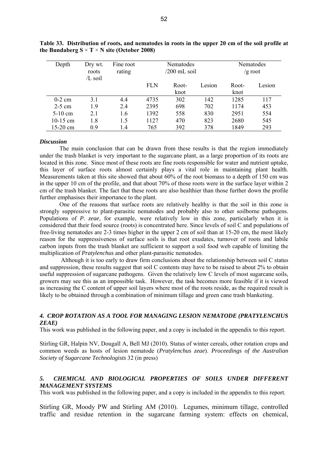| Depth      | Dry wt.<br>roots<br>/L soil | Fine root<br>rating | Nematodes<br>/200 mL soil |       |        | Nematodes<br>$/g$ root |        |  |
|------------|-----------------------------|---------------------|---------------------------|-------|--------|------------------------|--------|--|
|            |                             |                     | <b>FLN</b>                | Root- | Lesion | Root-                  | Lesion |  |
|            |                             |                     |                           | knot  |        | knot                   |        |  |
| $0-2$ cm   | 3.1                         | 4.4                 | 4735                      | 302   | 142    | 1285                   | 117    |  |
| $2-5$ cm   | 1.9                         | 2.4                 | 2395                      | 698   | 702    | 1174                   | 453    |  |
| $5-10$ cm  | 2.1                         | 1.6                 | 1392                      | 558   | 830    | 2951                   | 554    |  |
| $10-15$ cm | 1.8                         | 1.5                 | 1127                      | 470   | 823    | 2680                   | 545    |  |
| $15-20$ cm | 09                          | 1.4                 | 765                       | 392   | 378    | 1849                   | 293    |  |

**Table 33. Distribution of roots, and nematodes in roots in the upper 20 cm of the soil profile at**  the Bundaberg  $S \times T \times N$  site (October 2008)

#### *Discussion*

The main conclusion that can be drawn from these results is that the region immediately under the trash blanket is very important to the sugarcane plant, as a large proportion of its roots are located in this zone. Since most of these roots are fine roots responsible for water and nutrient uptake, this layer of surface roots almost certainly plays a vital role in maintaining plant health. Measurements taken at this site showed that about 60% of the root biomass to a depth of 150 cm was in the upper 10 cm of the profile, and that about 70% of those roots were in the surface layer within 2 cm of the trash blanket. The fact that these roots are also healthier than those further down the profile further emphasises their importance to the plant.

One of the reasons that surface roots are relatively healthy is that the soil in this zone is strongly suppressive to plant-parasitic nematodes and probably also to other soilborne pathogens. Populations of *P. zeae*, for example, were relatively low in this zone, particularly when it is considered that their food source (roots) is concentrated here. Since levels of soil C and populations of free-living nematodes are 2-3 times higher in the upper 2 cm of soil than at 15-20 cm, the most likely reason for the suppressiveness of surface soils is that root exudates, turnover of roots and labile carbon inputs from the trash blanket are sufficient to support a soil food web capable of limiting the multiplication of *Pratylenchus* and other plant-parasitic nematodes.

 Although it is too early to draw firm conclusions about the relationship between soil C status and suppression, these results suggest that soil C contents may have to be raised to about 2% to obtain useful suppression of sugarcane pathogens. Given the relatively low C levels of most sugarcane soils, growers may see this as an impossible task. However, the task becomes more feasible if it is viewed as increasing the C content of upper soil layers where most of the roots reside, as the required result is likely to be obtained through a combination of minimum tillage and green cane trash blanketing.

#### *4. CROP ROTATION AS A TOOL FOR MANAGING LESION NEMATODE (PRATYLENCHUS ZEAE)*

This work was published in the following paper, and a copy is included in the appendix to this report.

Stirling GR, Halpin NV, Dougall A, Bell MJ (2010). Status of winter cereals, other rotation crops and common weeds as hosts of lesion nematode (*Pratylenchus zeae*). *Proceedings of the Australian Society of Sugarcane Technologists* 32 (in press)

## *5. CHEMICAL AND BIOLOGICAL PROPERTIES OF SOILS UNDER DIFFERENT MANAGEMENT SYSTEMS*

This work was published in the following paper, and a copy is included in the appendix to this report.

Stirling GR, Moody PW and Stirling AM (2010). Legumes, minimum tillage, controlled traffic and residue retention in the sugarcane farming system: effects on chemical,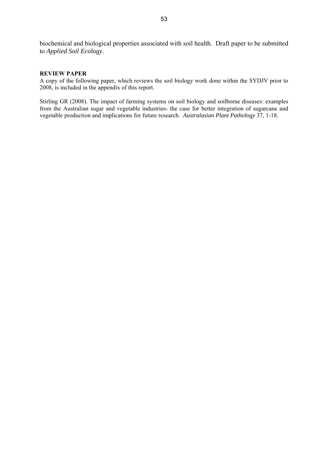biochemical and biological properties associated with soil health. Draft paper to be submitted to *Applied Soil Ecology*.

#### **REVIEW PAPER**

A copy of the following paper, which reviews the soil biology work done within the SYDJV prior to 2008, is included in the appendix of this report.

Stirling GR (2008). The impact of farming systems on soil biology and soilborne diseases: examples from the Australian sugar and vegetable industries- the case for better integration of sugarcane and vegetable production and implications for future research. *Australasian Plant Pathology* 37, 1-18.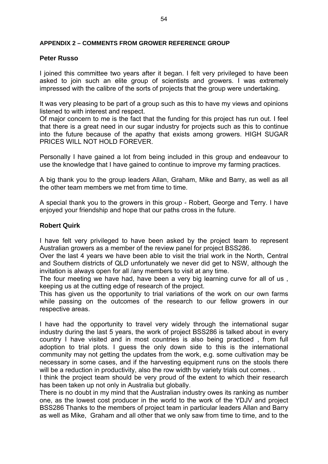## **APPENDIX 2 – COMMENTS FROM GROWER REFERENCE GROUP**

## **Peter Russo**

I joined this committee two years after it began. I felt very privileged to have been asked to join such an elite group of scientists and growers. I was extremely impressed with the calibre of the sorts of projects that the group were undertaking.

It was very pleasing to be part of a group such as this to have my views and opinions listened to with interest and respect.

Of major concern to me is the fact that the funding for this project has run out. I feel that there is a great need in our sugar industry for projects such as this to continue into the future because of the apathy that exists among growers. HIGH SUGAR PRICES WILL NOT HOLD FOREVER.

Personally I have gained a lot from being included in this group and endeavour to use the knowledge that I have gained to continue to improve my farming practices.

A big thank you to the group leaders Allan, Graham, Mike and Barry, as well as all the other team members we met from time to time.

A special thank you to the growers in this group - Robert, George and Terry. I have enjoyed your friendship and hope that our paths cross in the future.

## **Robert Quirk**

I have felt very privileged to have been asked by the project team to represent Australian growers as a member of the review panel for project BSS286.

Over the last 4 years we have been able to visit the trial work in the North, Central and Southern districts of QLD unfortunately we never did get to NSW, although the invitation is always open for all /any members to visit at any time.

The four meeting we have had, have been a very big learning curve for all of us , keeping us at the cutting edge of research of the project.

This has given us the opportunity to trial variations of the work on our own farms while passing on the outcomes of the research to our fellow growers in our respective areas.

I have had the opportunity to travel very widely through the international sugar industry during the last 5 years, the work of project BSS286 is talked about in every country I have visited and in most countries is also being practiced , from full adoption to trial plots. I guess the only down side to this is the international community may not getting the updates from the work, e.g. some cultivation may be necessary in some cases, and if the harvesting equipment runs on the stools there will be a reduction in productivity, also the row width by variety trials out comes...

I think the project team should be very proud of the extent to which their research has been taken up not only in Australia but globally.

There is no doubt in my mind that the Australian industry owes its ranking as number one, as the lowest cost producer in the world to the work of the YDJV and project BSS286 Thanks to the members of project team in particular leaders Allan and Barry as well as Mike, Graham and all other that we only saw from time to time, and to the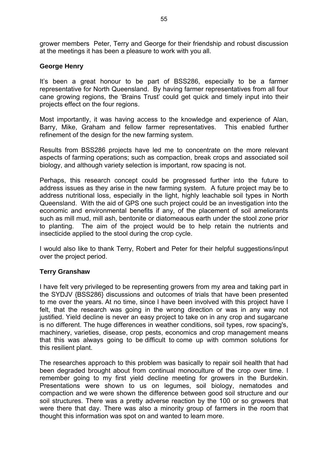grower members Peter, Terry and George for their friendship and robust discussion at the meetings it has been a pleasure to work with you all.

## **George Henry**

It's been a great honour to be part of BSS286, especially to be a farmer representative for North Queensland. By having farmer representatives from all four cane growing regions, the 'Brains Trust' could get quick and timely input into their projects effect on the four regions.

Most importantly, it was having access to the knowledge and experience of Alan, Barry, Mike, Graham and fellow farmer representatives. This enabled further refinement of the design for the new farming system.

Results from BSS286 projects have led me to concentrate on the more relevant aspects of farming operations; such as compaction, break crops and associated soil biology, and although variety selection is important, row spacing is not.

Perhaps, this research concept could be progressed further into the future to address issues as they arise in the new farming system. A future project may be to address nutritional loss, especially in the light, highly leachable soil types in North Queensland. With the aid of GPS one such project could be an investigation into the economic and environmental benefits if any, of the placement of soil ameliorants such as mill mud, mill ash, bentonite or diatomeaous earth under the stool zone prior to planting. The aim of the project would be to help retain the nutrients and insecticide applied to the stool during the crop cycle.

I would also like to thank Terry, Robert and Peter for their helpful suggestions/input over the project period.

## **Terry Granshaw**

I have felt very privileged to be representing growers from my area and taking part in the SYDJV {BSS286} discussions and outcomes of trials that have been presented to me over the years. At no time, since I have been involved with this project have I felt, that the research was going in the wrong direction or was in any way not justified. Yield decline is never an easy project to take on in any crop and sugarcane is no different. The huge differences in weather conditions, soil types, row spacing's, machinery, varieties, disease, crop pests, economics and crop management means that this was always going to be difficult to come up with common solutions for this resilient plant.

The researches approach to this problem was basically to repair soil health that had been degraded brought about from continual monoculture of the crop over time. I remember going to my first yield decline meeting for growers in the Burdekin. Presentations were shown to us on legumes, soil biology, nematodes and compaction and we were shown the difference between good soil structure and our soil structures. There was a pretty adverse reaction by the 100 or so growers that were there that day. There was also a minority group of farmers in the room that thought this information was spot on and wanted to learn more.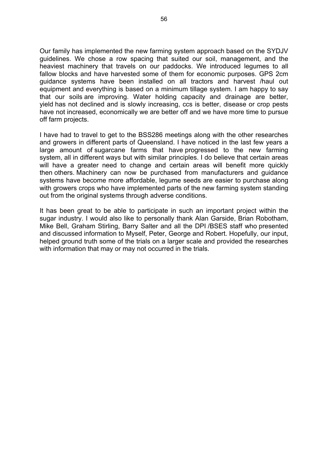Our family has implemented the new farming system approach based on the SYDJV guidelines. We chose a row spacing that suited our soil, management, and the heaviest machinery that travels on our paddocks. We introduced legumes to all fallow blocks and have harvested some of them for economic purposes. GPS 2cm guidance systems have been installed on all tractors and harvest /haul out equipment and everything is based on a minimum tillage system. I am happy to say that our soils are improving. Water holding capacity and drainage are better, yield has not declined and is slowly increasing, ccs is better, disease or crop pests have not increased, economically we are better off and we have more time to pursue off farm projects.

I have had to travel to get to the BSS286 meetings along with the other researches and growers in different parts of Queensland. I have noticed in the last few years a large amount of sugarcane farms that have progressed to the new farming system, all in different ways but with similar principles. I do believe that certain areas will have a greater need to change and certain areas will benefit more quickly then others. Machinery can now be purchased from manufacturers and guidance systems have become more affordable, legume seeds are easier to purchase along with growers crops who have implemented parts of the new farming system standing out from the original systems through adverse conditions.

It has been great to be able to participate in such an important project within the sugar industry. I would also like to personally thank Alan Garside, Brian Robotham, Mike Bell, Graham Stirling, Barry Salter and all the DPI /BSES staff who presented and discussed information to Myself, Peter, George and Robert. Hopefully, our input, helped ground truth some of the trials on a larger scale and provided the researches with information that may or may not occurred in the trials.